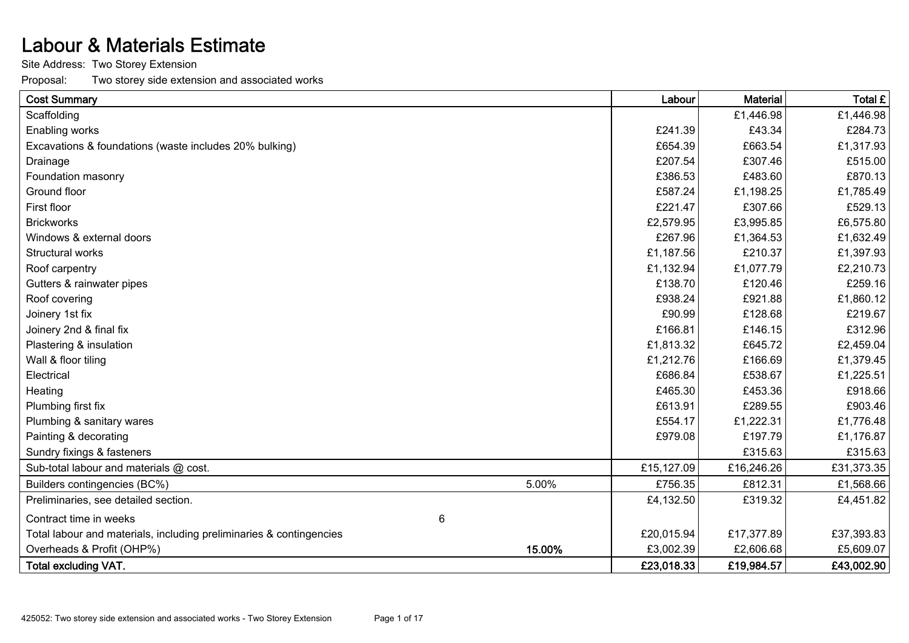## Labour & Materials Estimate

Site Address: Two Storey Extension

Proposal: Two storey side extension and associated works

| <b>Cost Summary</b>                                                 |        | Labour     | <b>Material</b> | Total £    |
|---------------------------------------------------------------------|--------|------------|-----------------|------------|
| Scaffolding                                                         |        |            | £1,446.98       | £1,446.98  |
| Enabling works                                                      |        | £241.39    | £43.34          | £284.73    |
| Excavations & foundations (waste includes 20% bulking)              |        | £654.39    | £663.54         | £1,317.93  |
| Drainage                                                            |        | £207.54    | £307.46         | £515.00    |
| Foundation masonry                                                  |        | £386.53    | £483.60         | £870.13    |
| Ground floor                                                        |        | £587.24    | £1,198.25       | £1,785.49  |
| First floor                                                         |        | £221.47    | £307.66         | £529.13    |
| <b>Brickworks</b>                                                   |        | £2,579.95  | £3,995.85       | £6,575.80  |
| Windows & external doors                                            |        | £267.96    | £1,364.53       | £1,632.49  |
| Structural works                                                    |        | £1,187.56  | £210.37         | £1,397.93  |
| Roof carpentry                                                      |        | £1,132.94  | £1,077.79       | £2,210.73  |
| Gutters & rainwater pipes                                           |        | £138.70    | £120.46         | £259.16    |
| Roof covering                                                       |        | £938.24    | £921.88         | £1,860.12  |
| Joinery 1st fix                                                     |        | £90.99     | £128.68         | £219.67    |
| Joinery 2nd & final fix                                             |        | £166.81    | £146.15         | £312.96    |
| Plastering & insulation                                             |        | £1,813.32  | £645.72         | £2,459.04  |
| Wall & floor tiling                                                 |        | £1,212.76  | £166.69         | £1,379.45  |
| Electrical                                                          |        | £686.84    | £538.67         | £1,225.51  |
| Heating                                                             |        | £465.30    | £453.36         | £918.66    |
| Plumbing first fix                                                  |        | £613.91    | £289.55         | £903.46    |
| Plumbing & sanitary wares                                           |        | £554.17    | £1,222.31       | £1,776.48  |
| Painting & decorating                                               |        | £979.08    | £197.79         | £1,176.87  |
| Sundry fixings & fasteners                                          |        |            | £315.63         | £315.63    |
| Sub-total labour and materials @ cost.                              |        | £15,127.09 | £16,246.26      | £31,373.35 |
| Builders contingencies (BC%)                                        | 5.00%  | £756.35    | £812.31         | £1,568.66  |
| Preliminaries, see detailed section.                                |        | £4,132.50  | £319.32         | £4,451.82  |
| Contract time in weeks                                              | 6      |            |                 |            |
| Total labour and materials, including preliminaries & contingencies |        | £20,015.94 | £17,377.89      | £37,393.83 |
| Overheads & Profit (OHP%)                                           | 15.00% | £3,002.39  | £2,606.68       | £5,609.07  |
| <b>Total excluding VAT.</b>                                         |        | £23,018.33 | £19,984.57      | £43,002.90 |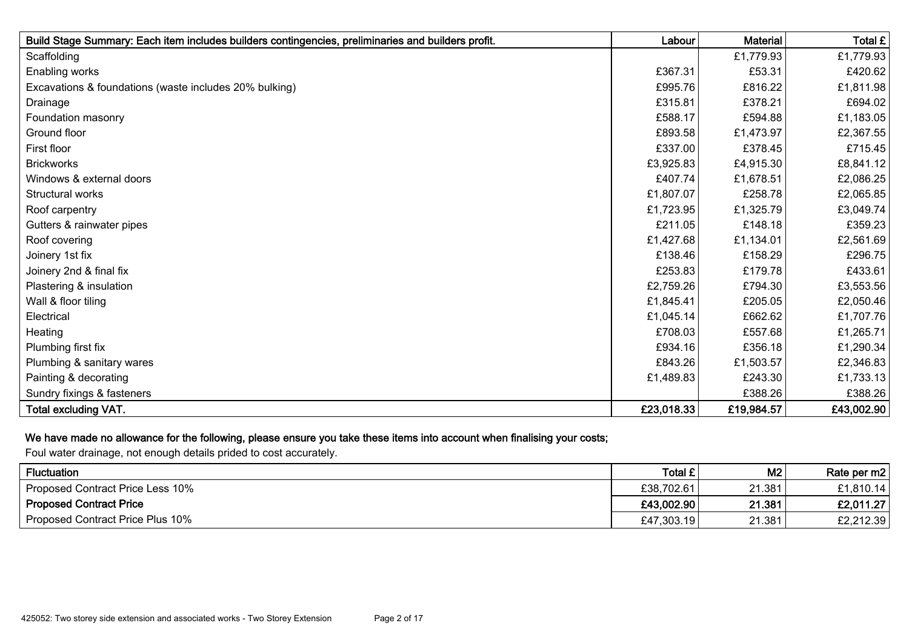| Build Stage Summary: Each item includes builders contingencies, preliminaries and builders profit. | Labour     | <b>Material</b> | Total £    |
|----------------------------------------------------------------------------------------------------|------------|-----------------|------------|
| Scaffolding                                                                                        |            | £1,779.93       | £1,779.93  |
| Enabling works                                                                                     | £367.31    | £53.31          | £420.62    |
| Excavations & foundations (waste includes 20% bulking)                                             | £995.76    | £816.22         | £1,811.98  |
| Drainage                                                                                           | £315.81    | £378.21         | £694.02    |
| Foundation masonry                                                                                 | £588.17    | £594.88         | £1,183.05  |
| Ground floor                                                                                       | £893.58    | £1,473.97       | £2,367.55  |
| First floor                                                                                        | £337.00    | £378.45         | £715.45    |
| <b>Brickworks</b>                                                                                  | £3,925.83  | £4,915.30       | £8,841.12  |
| Windows & external doors                                                                           | £407.74    | £1,678.51       | £2,086.25  |
| Structural works                                                                                   | £1,807.07  | £258.78         | £2,065.85  |
| Roof carpentry                                                                                     | £1,723.95  | £1,325.79       | £3,049.74  |
| Gutters & rainwater pipes                                                                          | £211.05    | £148.18         | £359.23    |
| Roof covering                                                                                      | £1,427.68  | £1,134.01       | £2,561.69  |
| Joinery 1st fix                                                                                    | £138.46    | £158.29         | £296.75    |
| Joinery 2nd & final fix                                                                            | £253.83    | £179.78         | £433.61    |
| Plastering & insulation                                                                            | £2,759.26  | £794.30         | £3,553.56  |
| Wall & floor tiling                                                                                | £1,845.41  | £205.05         | £2,050.46  |
| Electrical                                                                                         | £1,045.14  | £662.62         | £1,707.76  |
| Heating                                                                                            | £708.03    | £557.68         | £1,265.71  |
| Plumbing first fix                                                                                 | £934.16    | £356.18         | £1,290.34  |
| Plumbing & sanitary wares                                                                          | £843.26    | £1,503.57       | £2,346.83  |
| Painting & decorating                                                                              | £1,489.83  | £243.30         | £1,733.13  |
| Sundry fixings & fasteners                                                                         |            | £388.26         | £388.26    |
| <b>Total excluding VAT.</b>                                                                        | £23,018.33 | £19,984.57      | £43,002.90 |

## We have made no allowance for the following, please ensure you take these items into account when finalising your costs;

Foul water drainage, not enough details prided to cost accurately.

| Fluctuation                      | Total £    | M <sub>2</sub> | Rate per m2 |
|----------------------------------|------------|----------------|-------------|
| Proposed Contract Price Less 10% | £38,702.61 | 21.381         | £1,810.14   |
| <b>Proposed Contract Price</b>   | £43,002.90 | 21.381         | £2,011.27   |
| Proposed Contract Price Plus 10% | £47,303.19 | 21.381         | £2,212.39   |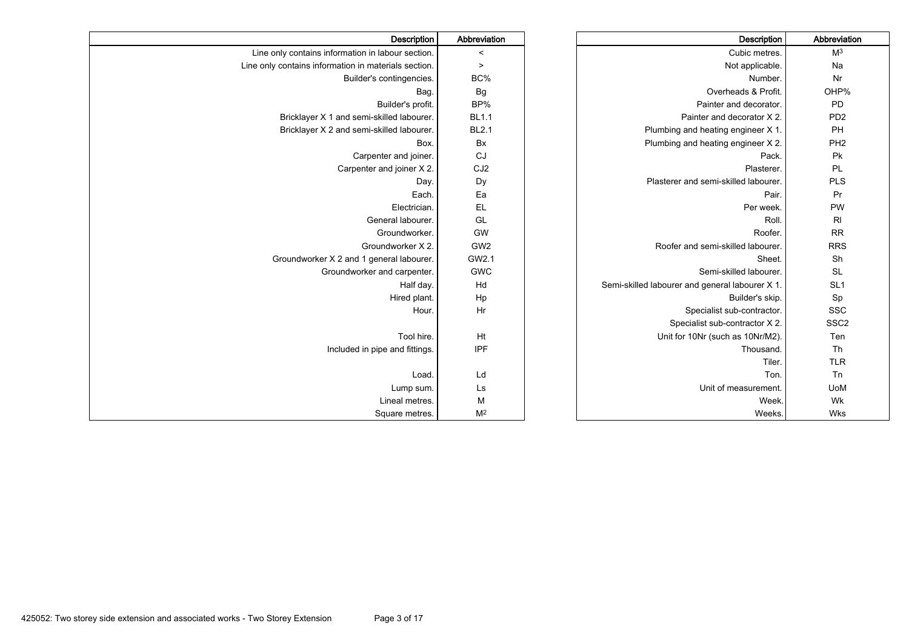| Description                                          | Abbreviation    | Description                                     | Abbreviation     |
|------------------------------------------------------|-----------------|-------------------------------------------------|------------------|
| Line only contains information in labour section.    | $\,<$           | Cubic metres.                                   | M <sup>3</sup>   |
| Line only contains information in materials section. | $\geq$          | Not applicable.                                 | Na               |
| Builder's contingencies.                             | BC%             | Number.                                         | Nr               |
| Bag                                                  | Bg              | Overheads & Profit.                             | OHP%             |
| Builder's profit.                                    | BP%             | Painter and decorator.                          | <b>PD</b>        |
| Bricklayer X 1 and semi-skilled labourer.            | <b>BL1.1</b>    | Painter and decorator X 2.                      | PD <sub>2</sub>  |
| Bricklayer X 2 and semi-skilled labourer.            | <b>BL2.1</b>    | Plumbing and heating engineer X 1.              | PH               |
| Box.                                                 | Bx              | Plumbing and heating engineer X 2.              | PH <sub>2</sub>  |
| Carpenter and joiner.                                | CJ              | Pack.                                           | Pk               |
| Carpenter and joiner X 2.                            | CJ <sub>2</sub> | Plasterer.                                      | PL               |
| Day.                                                 | Dy              | Plasterer and semi-skilled labourer.            | <b>PLS</b>       |
| Each.                                                | Ea              | Pair.                                           | Pr               |
| Electrician.                                         | EL              | Per week.                                       | PW               |
| General labourer.                                    | GL              | Roll                                            | $R_{\parallel}$  |
| Groundworker.                                        | GW              | Roofer.                                         | <b>RR</b>        |
| Groundworker X 2.                                    | GW <sub>2</sub> | Roofer and semi-skilled labourer.               | <b>RRS</b>       |
| Groundworker X 2 and 1 general labourer.             | GW2.1           | Sheet.                                          | Sh               |
| Groundworker and carpenter.                          | <b>GWC</b>      | Semi-skilled labourer.                          | <b>SL</b>        |
| Half day.                                            | Hd              | Semi-skilled labourer and general labourer X 1. | SL <sub>1</sub>  |
| Hired plant.                                         | Hp              | Builder's skip.                                 | Sp               |
| Hour.                                                | Hr              | Specialist sub-contractor.                      | <b>SSC</b>       |
|                                                      |                 | Specialist sub-contractor X 2.                  | SSC <sub>2</sub> |
| Tool hire.                                           | Ht              | Unit for 10Nr (such as 10Nr/M2).                | Ten              |
| Included in pipe and fittings.                       | IPF             | Thousand.                                       | Th               |
|                                                      |                 | Tiler.                                          | <b>TLR</b>       |
| Load.                                                | Ld              | Ton.                                            | Tn               |
| Lump sum.                                            | Ls              | Unit of measurement.                            | <b>UoM</b>       |
| Lineal metres.                                       | M               | Week.                                           | Wk               |
| Square metres.                                       | M <sup>2</sup>  | Weeks.                                          | Wks              |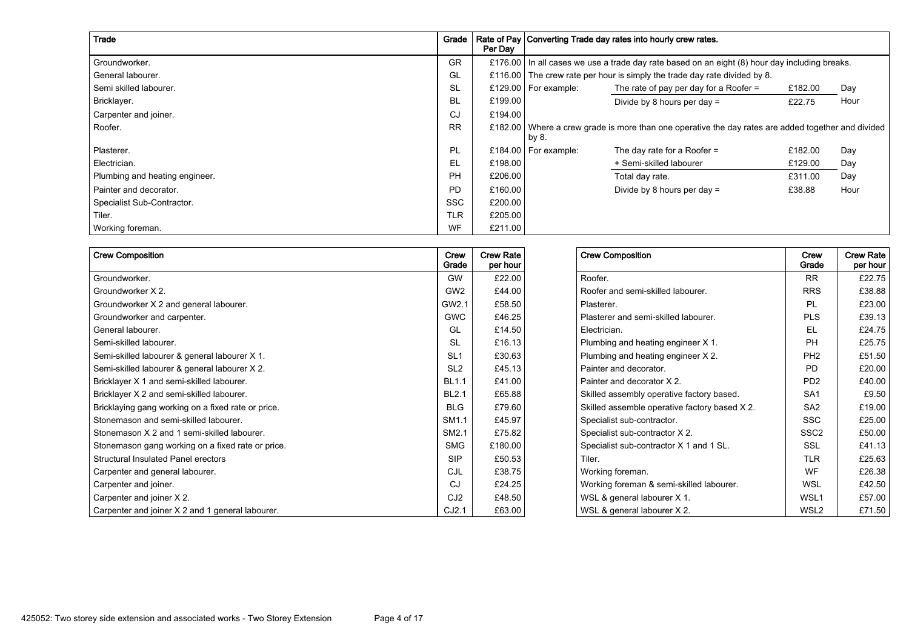| Trade                          | Grade      | Per Day | Rate of Pay Converting Trade day rates into hourly crew rates. |                                                                                                    |         |      |  |  |  |  |
|--------------------------------|------------|---------|----------------------------------------------------------------|----------------------------------------------------------------------------------------------------|---------|------|--|--|--|--|
| Groundworker.                  | GR         | £176.00 |                                                                | $\vert$ In all cases we use a trade day rate based on an eight (8) hour day including breaks.      |         |      |  |  |  |  |
| General labourer.              | GL         |         |                                                                | £116.00 The crew rate per hour is simply the trade day rate divided by 8.                          |         |      |  |  |  |  |
| Semi skilled labourer.         | <b>SL</b>  |         | £129.00   For example:                                         | The rate of pay per day for a Roofer $=$                                                           | £182.00 | Day  |  |  |  |  |
| Bricklayer.                    | <b>BL</b>  | £199.00 |                                                                | Divide by 8 hours per day $=$                                                                      | £22.75  | Hour |  |  |  |  |
| Carpenter and joiner.          | CJ         | £194.00 |                                                                |                                                                                                    |         |      |  |  |  |  |
| Roofer.                        | <b>RR</b>  |         | by 8.                                                          | £182.00 Where a crew grade is more than one operative the day rates are added together and divided |         |      |  |  |  |  |
| Plasterer.                     | <b>PL</b>  |         | £184.00   For example:                                         | The day rate for a Roofer $=$                                                                      | £182.00 | Day  |  |  |  |  |
| Electrician.                   | <b>EL</b>  | £198.00 |                                                                | + Semi-skilled labourer                                                                            | £129.00 | Day  |  |  |  |  |
| Plumbing and heating engineer. | PH         | £206.00 |                                                                | Total day rate.                                                                                    | £311.00 | Day  |  |  |  |  |
| Painter and decorator.         | <b>PD</b>  | £160.00 |                                                                | Divide by 8 hours per day $=$                                                                      | £38.88  | Hour |  |  |  |  |
| Specialist Sub-Contractor.     | <b>SSC</b> | £200.00 |                                                                |                                                                                                    |         |      |  |  |  |  |
| Tiler.                         | <b>TLR</b> | £205.00 |                                                                |                                                                                                    |         |      |  |  |  |  |
| Working foreman.               | WF         | £211.00 |                                                                |                                                                                                    |         |      |  |  |  |  |

| <b>Crew Composition</b>                            | Crew<br>Grade   | <b>Crew Rate</b><br>per hour | <b>Crew Composition</b>                       | Crew<br>Grade               | <b>Crew Rate</b><br>per hour |
|----------------------------------------------------|-----------------|------------------------------|-----------------------------------------------|-----------------------------|------------------------------|
| Groundworker.                                      | <b>GW</b>       | £22.00                       | Roofer.                                       | <b>RR</b>                   | £22.75                       |
| Groundworker X 2.                                  | GW <sub>2</sub> | £44.00                       | Roofer and semi-skilled labourer.             | <b>RRS</b>                  | £38.88                       |
| Groundworker X 2 and general labourer.             | GW2.1           | £58.50                       | Plasterer.                                    | PL                          | £23.00                       |
| Groundworker and carpenter.                        | <b>GWC</b>      | £46.25                       | Plasterer and semi-skilled labourer.          | <b>PLS</b>                  | £39.13                       |
| General labourer.                                  | GL              | £14.50                       | Electrician.                                  | EL                          | £24.75                       |
| Semi-skilled labourer.                             | <b>SL</b>       | £16.13                       | Plumbing and heating engineer X 1.            | PH                          | £25.75                       |
| Semi-skilled labourer & general labourer X 1.      | SL <sub>1</sub> | £30.63                       | Plumbing and heating engineer X 2.            | PH <sub>2</sub>             | £51.50                       |
| Semi-skilled labourer & general labourer X 2.      | SL <sub>2</sub> | £45.13                       | Painter and decorator.                        | <b>PD</b>                   | £20.00                       |
| Bricklayer X 1 and semi-skilled labourer.          | <b>BL1.1</b>    | £41.00                       | Painter and decorator X 2.                    | P <sub>D</sub> <sub>2</sub> | £40.00                       |
| Bricklayer X 2 and semi-skilled labourer.          | <b>BL2.1</b>    | £65.88                       | Skilled assembly operative factory based.     | SA <sub>1</sub>             | £9.50                        |
| Bricklaying gang working on a fixed rate or price. | <b>BLG</b>      | £79.60                       | Skilled assemble operative factory based X 2. | SA <sub>2</sub>             | £19.00                       |
| Stonemason and semi-skilled labourer.              | SM1.1           | £45.97                       | Specialist sub-contractor.                    | <b>SSC</b>                  | £25.00                       |
| Stonemason X 2 and 1 semi-skilled labourer.        | SM2.1           | £75.82                       | Specialist sub-contractor X 2.                | SSC <sub>2</sub>            | £50.00                       |
| Stonemason gang working on a fixed rate or price.  | <b>SMG</b>      | £180.00                      | Specialist sub-contractor X 1 and 1 SL.       | SSL                         | £41.13                       |
| Structural Insulated Panel erectors                | <b>SIP</b>      | £50.53                       | Tiler.                                        | <b>TLR</b>                  | £25.63                       |
| Carpenter and general labourer.                    | CJL             | £38.75                       | Working foreman.                              | WF                          | £26.38                       |
| Carpenter and joiner.                              | CJ.             | £24.25                       | Working foreman & semi-skilled labourer.      | <b>WSL</b>                  | £42.50                       |
| Carpenter and joiner X 2.                          | CJ <sub>2</sub> | £48.50                       | WSL & general labourer X 1.                   | WSL <sub>1</sub>            | £57.00                       |
| Carpenter and joiner X 2 and 1 general labourer.   | CJ2.1           | £63.00                       | WSL & general labourer X 2.                   | WSL <sub>2</sub>            | £71.50                       |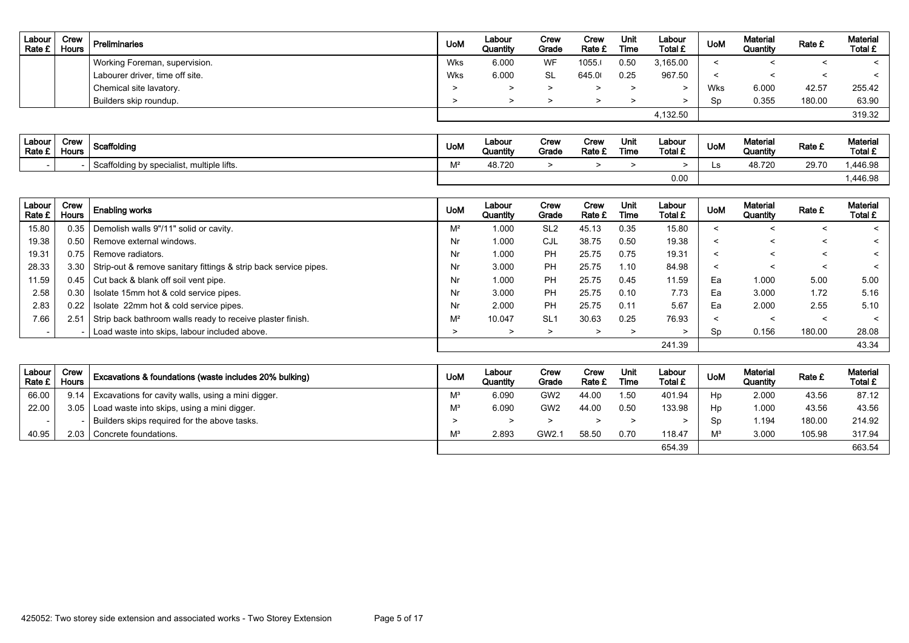| Labour<br>Rate £ | Crew<br><b>Hours</b> | Preliminaries                   | <b>UoM</b> | Labour<br>Quantity | Crew<br>Grade | Crew<br>Rate £ | Unit<br>Time | Labour<br>Total £ | <b>UoM</b> | <b>Material</b><br>Quantity | Rate £ | <b>Material</b><br>Total £ |
|------------------|----------------------|---------------------------------|------------|--------------------|---------------|----------------|--------------|-------------------|------------|-----------------------------|--------|----------------------------|
|                  |                      | Working Foreman, supervision.   | Wks        | 6.000              | WF            | 1055.          | 0.50         | 3,165.00          |            |                             |        | $\epsilon$                 |
|                  |                      | Labourer driver, time off site. | Wks        | 6.000              | -SL           | 645.0          | 0.25         | 967.50            |            |                             |        | $\epsilon$                 |
|                  |                      | Chemical site lavatory.         |            |                    |               |                |              |                   | Wks        | 6.000                       | 42.57  | 255.42                     |
|                  |                      | Builders skip roundup.          |            |                    |               |                |              |                   | Sp         | 0.355                       | 180.00 | 63.90                      |
|                  |                      |                                 |            |                    |               |                |              | 4,132.50          |            |                             |        | 319.32                     |

| Labour<br>Rate £ | Crew<br>Hours | Scaffolding                             | <b>UoM</b> | ∟abour<br>Quantity | Crew<br>Grade | Crew<br>Rate £ | Unit<br>Time | Labour<br>Total £ | <b>UoM</b> | Material<br>Quantity | Rate £ | Material<br>Total £ |
|------------------|---------------|-----------------------------------------|------------|--------------------|---------------|----------------|--------------|-------------------|------------|----------------------|--------|---------------------|
|                  |               | ffolding by specialist, multiple lifts. | N 42       | 48.720             |               |                |              |                   | ᅜ          | 48.720               | 29.70  | ,446.98             |
|                  |               |                                         |            |                    |               |                |              | 0.00              |            |                      |        | .446.98             |

| Labour<br>Rate £ | Crew<br><b>Hours</b> | <b>Enabling works</b>                                                 | <b>UoM</b>     | Labour<br>Quantity | Crew<br>Grade   | Crew<br>Rate £ | Unit<br>Time | Labour<br>Total £ | <b>UoM</b> | Material<br>Quantity | Rate £  | Material<br>Total £ |
|------------------|----------------------|-----------------------------------------------------------------------|----------------|--------------------|-----------------|----------------|--------------|-------------------|------------|----------------------|---------|---------------------|
| 15.80            |                      | 0.35   Demolish walls 9"/11" solid or cavity.                         | M <sup>2</sup> | 1.000              | SL <sub>2</sub> | 45.13          | 0.35         | 15.80             | $\,<\,$    |                      | <       |                     |
| 19.38            |                      | 0.50 Remove external windows.                                         | Nr             | 1.000              | CJL             | 38.75          | 0.50         | 19.38             | <          | <                    | $\prec$ | $\tilde{}$          |
| 19.31            |                      | 0.75   Remove radiators.                                              | Nr             | 1.000              | <b>PH</b>       | 25.75          | 0.75         | 19.31             | $\prec$    | ≺                    | $\prec$ | $\tilde{}$          |
| 28.33            |                      | 3.30 Strip-out & remove sanitary fittings & strip back service pipes. | Nr             | 3.000              | <b>PH</b>       | 25.75          | 1.10         | 84.98             | $\prec$    |                      | $\prec$ | $\tilde{}$          |
| 11.59            |                      | 0.45   Cut back & blank off soil vent pipe.                           | Nr             | 1.000              | <b>PH</b>       | 25.75          | 0.45         | 11.59             | Ea         | 1.000                | 5.00    | 5.00                |
| 2.58             | 0.30                 | Isolate 15mm hot & cold service pipes.                                | Nr             | 3.000              | <b>PH</b>       | 25.75          | 0.10         | 7.73              | Ea         | 3.000                | 1.72    | 5.16                |
| 2.83             | 0.22                 | Isolate 22mm hot & cold service pipes.                                | Nr             | 2.000              | PH              | 25.75          | 0.11         | 5.67              | Ea         | 2.000                | 2.55    | 5.10                |
| 7.66             | 2.51                 | Strip back bathroom walls ready to receive plaster finish.            | $M^2$          | 10.047             | SL <sub>1</sub> | 30.63          | 0.25         | 76.93             | $\prec$    |                      | $\prec$ | $\tilde{}$          |
|                  |                      | Load waste into skips, labour included above.                         | >              | ⋗                  | $\geq$          | >              | ⋗            |                   | Sp         | 0.156                | 180.00  | 28.08               |
|                  |                      |                                                                       |                |                    |                 |                |              | 241.39            |            |                      |         | 43.34               |

| Labour  <br>Rate £ I | Crew<br>Hours | Excavations & foundations (waste includes 20% bulking) | <b>UoM</b> | Labour<br>Quantity | Crew<br>Grade   | Crew<br>Rate £ | Unit<br>Time | Labour<br>Total £ | <b>Uolv</b> | <b>Material</b><br>Quantity | Rate £ | <b>Material</b><br>Total £ |
|----------------------|---------------|--------------------------------------------------------|------------|--------------------|-----------------|----------------|--------------|-------------------|-------------|-----------------------------|--------|----------------------------|
| 66.00                | 9.14          | Excavations for cavity walls, using a mini digger.     | M          | 6.090              | GW <sub>2</sub> | 44.00          | 1.50         | 401.94            | Hp          | 2.000                       | 43.56  | 87.12                      |
| 22.00                |               | 3.05   Load waste into skips, using a mini digger.     | M          | 6.090              | GW <sub>2</sub> | 44.00          | 0.50         | 133.98            | Hp          | .000                        | 43.56  | 43.56                      |
|                      |               | Builders skips required for the above tasks.           |            |                    |                 |                |              |                   | -Sp         | 194. ا                      | 180.00 | 214.92                     |
| 40.95                |               | 2.03 Concrete foundations.                             | M          | 2.893              | GW2.1           | 58.50          | 0.70         | 118.47            | $M^3$       | 3.000                       | 105.98 | 317.94                     |
|                      |               |                                                        |            |                    |                 |                |              | 654.39            |             |                             |        | 663.54                     |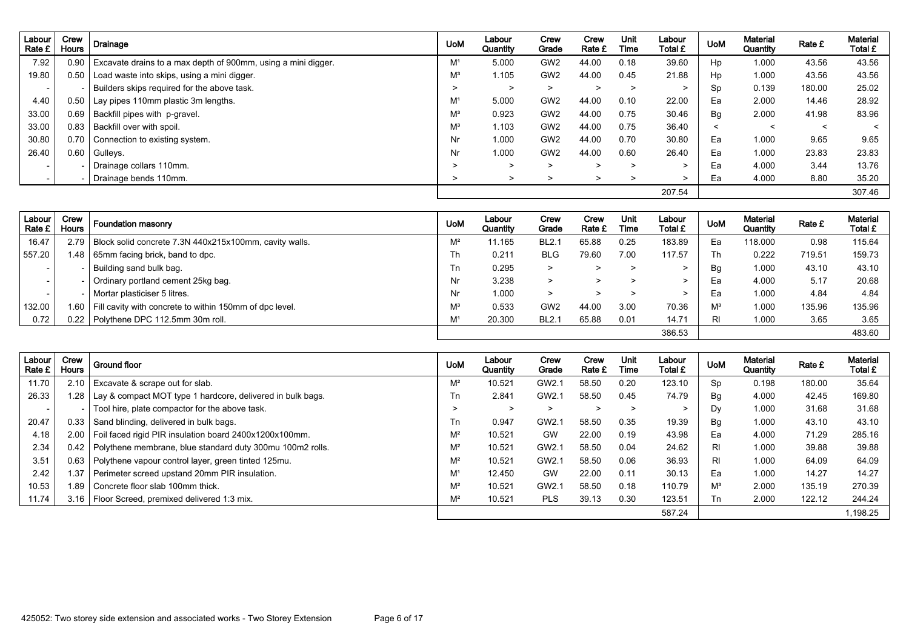| Labour<br>Rate £         | Crew<br><b>Hours</b> | <b>Drainage</b>                                               | <b>UoM</b>     | Labour<br>Quantity | Crew<br>Grade   | Crew<br>Rate £ | <b>Unit</b><br>Time | Labour<br>Total £ | <b>UoM</b> | <b>Material</b><br>Quantity | Rate £  | <b>Material</b><br>Total £ |
|--------------------------|----------------------|---------------------------------------------------------------|----------------|--------------------|-----------------|----------------|---------------------|-------------------|------------|-----------------------------|---------|----------------------------|
| 7.92                     | 0.90                 | Excavate drains to a max depth of 900mm, using a mini digger. | M <sup>1</sup> | 5.000              | GW <sub>2</sub> | 44.00          | 0.18                | 39.60             | Hp         | 1.000                       | 43.56   | 43.56                      |
| 19.80                    | 0.50                 | Load waste into skips, using a mini digger.                   | $M^3$          | 1.105              | GW <sub>2</sub> | 44.00          | 0.45                | 21.88             | Hp         | 1.000                       | 43.56   | 43.56                      |
| $\overline{\phantom{0}}$ |                      | Builders skips required for the above task.                   |                | $\geq$             | $\geq$          | >              | >                   | >                 | Sp         | 0.139                       | 180.00  | 25.02                      |
| 4.40                     | 0.50                 | Lay pipes 110mm plastic 3m lengths.                           | M <sup>1</sup> | 5.000              | GW <sub>2</sub> | 44.00          | 0.10                | 22.00             | Ea         | 2.000                       | 14.46   | 28.92                      |
| 33.00                    |                      | 0.69   Backfill pipes with p-gravel.                          | $M^3$          | 0.923              | GW <sub>2</sub> | 44.00          | 0.75                | 30.46             | <b>Bg</b>  | 2.000                       | 41.98   | 83.96                      |
| 33.00                    | 0.83                 | Backfill over with spoil.                                     | $M^3$          | 1.103              | GW <sub>2</sub> | 44.00          | 0.75                | 36.40             | $\prec$    | $\,<\,$                     | $\prec$ | $\prec$                    |
| 30.80                    | 0.70                 | Connection to existing system.                                | Nr             | 1.000              | GW <sub>2</sub> | 44.00          | 0.70                | 30.80             | Ea         | 1.000                       | 9.65    | 9.65                       |
| 26.40                    | 0.60                 | Gulleys.                                                      | Nr             | 1.000              | GW <sub>2</sub> | 44.00          | 0.60                | 26.40             | Ea         | 1.000                       | 23.83   | 23.83                      |
| $\overline{\phantom{0}}$ |                      | Drainage collars 110mm.                                       | >              | $\geq$             | $\geq$          | $\geq$         | $\geq$              | >                 | Ea         | 4.000                       | 3.44    | 13.76                      |
|                          |                      | Drainage bends 110mm.                                         |                | $\geq$             | ⋗               | $\geq$         | >                   | >                 | Ea         | 4.000                       | 8.80    | 35.20                      |
|                          |                      |                                                               |                |                    |                 |                |                     | 207.54            |            |                             |         | 307.46                     |

| Labour<br>Rate £ | Crew<br><b>Hours</b> | Foundation masonry                                            | <b>UoM</b>     | Labour<br>Quantity | Crew<br>Grade   | Crew<br>Rate £ | Unit<br>Time | Labour<br>Total £ | <b>UoM</b> | Material<br>Quantity | Rate £ | <b>Material</b><br>Total £ |
|------------------|----------------------|---------------------------------------------------------------|----------------|--------------------|-----------------|----------------|--------------|-------------------|------------|----------------------|--------|----------------------------|
| 16.47            |                      | 2.79   Block solid concrete 7.3N 440x215x100mm, cavity walls. | $M^2$          | 11.165             | <b>BL2.1</b>    | 65.88          | 0.25         | 183.89            | Ea         | 118.000              | 0.98   | 115.64                     |
| 557.20           |                      | 1.48   65mm facing brick, band to dpc.                        | Th             | 0.211              | <b>BLG</b>      | 79.60          | 7.00         | 117.57            | Th         | 0.222                | 719.51 | 159.73                     |
| $\sim$           |                      | Building sand bulk bag.                                       | Tn             | 0.295              | $\geq$          |                |              |                   | Bg         | 1.000                | 43.10  | 43.10                      |
| $\sim$           |                      | Ordinary portland cement 25kg bag.                            | Nr             | 3.238              | $\geq$          |                |              |                   | Ea         | 4.000                | 5.17   | 20.68                      |
| $\sim$           |                      | Mortar plasticiser 5 litres.                                  | Nr             | 1.000              | $\geq$          |                |              |                   | Ea         | 1.000                | 4.84   | 4.84                       |
| 132.00           | .60                  | Fill cavity with concrete to within 150mm of dpc level.       | $M^3$          | 0.533              | GW <sub>2</sub> | 44.00          | 3.00         | 70.36             | $M^3$      | 1.000                | 135.96 | 135.96                     |
| 0.72             |                      | 0.22   Polythene DPC 112.5mm 30m roll.                        | M <sup>1</sup> | 20,300             | <b>BL2.1</b>    | 65.88          | 0.01         | 14.71             | RI         | 1.000                | 3.65   | 3.65                       |
|                  |                      |                                                               |                |                    |                 |                |              | 386.53            |            |                      |        | 483.60                     |

| Labour<br>Rate £ | Crew<br><b>Hours</b> | <b>Ground floor</b>                                              | <b>UoM</b>     | Labour<br>Quantity | Crew<br>Grade | Crew<br>Rate £ | Unit<br>Time | Labour<br><b>Total £</b> | <b>UoM</b> | Material<br>Quantity | <b>Rate £</b> | Material<br>Total £ |
|------------------|----------------------|------------------------------------------------------------------|----------------|--------------------|---------------|----------------|--------------|--------------------------|------------|----------------------|---------------|---------------------|
| 11.70            | 2.10                 | Excavate & scrape out for slab.                                  | $M^2$          | 10.521             | GW2.1         | 58.50          | 0.20         | 123.10                   | Sp         | 0.198                | 180.00        | 35.64               |
| 26.33            |                      | Lay & compact MOT type 1 hardcore, delivered in bulk bags.       | Tn             | 2.841              | GW2.1         | 58.50          | 0.45         | 74.79                    | Вg         | 4.000                | 42.45         | 169.80              |
|                  |                      | Tool hire, plate compactor for the above task.                   | >              | $\geq$             | >             | ⋗              | >            |                          | Dy         | 1.000                | 31.68         | 31.68               |
| 20.47            | 0.33                 | Sand blinding, delivered in bulk bags.                           | Tn             | 0.947              | GW2.1         | 58.50          | 0.35         | 19.39                    | Bg         | 1.000                | 43.10         | 43.10               |
| 4.18             | 2.00                 | Foil faced rigid PIR insulation board 2400x1200x100mm.           | $M^2$          | 10.521             | GW            | 22.00          | 0.19         | 43.98                    | Ea         | 4.000                | 71.29         | 285.16              |
| 2.34             |                      | 0.42   Polythene membrane, blue standard duty 300mu 100m2 rolls. | $M^2$          | 10.521             | GW2.1         | 58.50          | 0.04         | 24.62                    | <b>RI</b>  | 1.000                | 39.88         | 39.88               |
| 3.51             | 0.63                 | Polythene vapour control layer, green tinted 125mu.              | $M^2$          | 10.521             | GW2.1         | 58.50          | 0.06         | 36.93                    | <b>RI</b>  | 1.000                | 64.09         | 64.09               |
| 2.42             | i 37                 | Perimeter screed upstand 20mm PIR insulation.                    | M <sup>1</sup> | 12.450             | GW            | 22.00          | 0.11         | 30.13                    | Ea         | 1.000                | 14.27         | 14.27               |
| 10.53            | l.89                 | Concrete floor slab 100mm thick.                                 | $M^2$          | 10.521             | GW2.1         | 58.50          | 0.18         | 110.79                   | $M^3$      | 2.000                | 135.19        | 270.39              |
| 11.74            | 3.16                 | Floor Screed, premixed delivered 1:3 mix.                        | $M^2$          | 10.521             | <b>PLS</b>    | 39.13          | 0.30         | 123.51                   | Тn         | 2.000                | 122.12        | 244.24              |
|                  |                      |                                                                  |                |                    |               |                |              | 587.24                   |            |                      |               | 1.198.25            |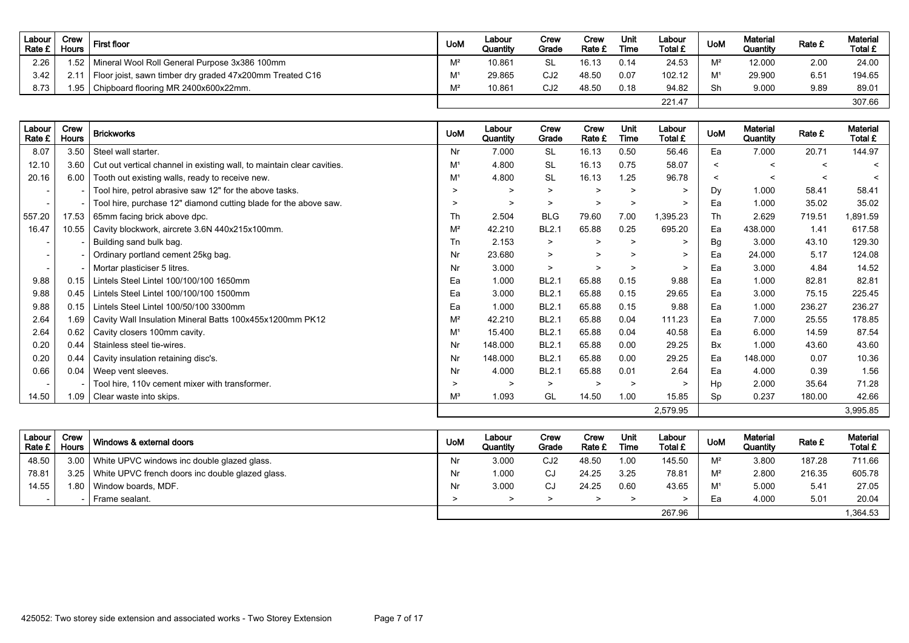| Labour<br>Rate £ I | Crew<br>Hours | <b>First floor</b>                                       | <b>UoM</b>     | Labour<br>Quantity | Crew<br>Grade   | Crew<br>Rate £ | Unit<br>Time | Labour<br>Total £ | <b>UoM</b> | <b>Material</b><br>Quantity | Rate £        | Material<br>Total £ |
|--------------------|---------------|----------------------------------------------------------|----------------|--------------------|-----------------|----------------|--------------|-------------------|------------|-----------------------------|---------------|---------------------|
| 2.26               |               | 1.52   Mineral Wool Roll General Purpose 3x386 100mm     | $M^2$          | 10.861             | SL              | 16.13          | 0.14         | 24.53             | <b>M2</b>  | 12.000                      | 2.00          | 24.00               |
| 3.42               |               | Floor joist, sawn timber dry graded 47x200mm Treated C16 | M <sup>1</sup> | 29.865             | CJ2             | 48.50          | 0.07         | 102.12            | N 11       | 29.900                      | $6.5^{\circ}$ | 194.65              |
| 8.73               |               | 1.95 Chipboard flooring MR 2400x600x22mm.                | $M^2$          | 10.861             | CJ <sub>2</sub> | 48.50          | 0.18         | 94.82             | Sh         | 9.000                       | 9.89          | 89.01               |
|                    |               |                                                          |                |                    |                 |                |              | 221.47            |            |                             |               | 307.66              |

| Labour<br>Rate £         | Crew<br><b>Hours</b>     | <b>Brickworks</b>                                                             | <b>UoM</b>     | Labour<br>Quantity | Crew<br>Grade | Crew<br>Rate £ | Unit<br>Time | Labour<br>Total £ | <b>UoM</b> | Material<br>Quantity | Rate £  | <b>Material</b><br>Total £ |
|--------------------------|--------------------------|-------------------------------------------------------------------------------|----------------|--------------------|---------------|----------------|--------------|-------------------|------------|----------------------|---------|----------------------------|
| 8.07                     | 3.50                     | Steel wall starter.                                                           | Nr             | 7.000              | <b>SL</b>     | 16.13          | 0.50         | 56.46             | Ea         | 7.000                | 20.71   | 144.97                     |
| 12.10                    |                          | 3.60   Cut out vertical channel in existing wall, to maintain clear cavities. | M <sup>1</sup> | 4.800              | <b>SL</b>     | 16.13          | 0.75         | 58.07             | $\prec$    | $\prec$              | $\prec$ | $\prec$                    |
| 20.16                    | 6.00                     | Tooth out existing walls, ready to receive new.                               | M <sup>1</sup> | 4.800              | <b>SL</b>     | 16.13          | 1.25         | 96.78             | $\prec$    | $\prec$              | $\prec$ | $\prec$                    |
|                          |                          | Tool hire, petrol abrasive saw 12" for the above tasks.                       | $\geq$         | $\geq$             | $\geq$        | $\geq$         | $\geq$       | $\geq$            | Dy         | 1.000                | 58.41   | 58.41                      |
| $\overline{\phantom{0}}$ | $\overline{\phantom{0}}$ | Tool hire, purchase 12" diamond cutting blade for the above saw.              | $\geq$         | $\geq$             | $\geq$        | $\geq$         | $\geq$       | $\geq$            | Ea         | 1.000                | 35.02   | 35.02                      |
| 557.20                   | 17.53                    | 65mm facing brick above dpc.                                                  | Th             | 2.504              | <b>BLG</b>    | 79.60          | 7.00         | 1,395.23          | Th         | 2.629                | 719.51  | 891.59                     |
| 16.47                    | 10.55                    | Cavity blockwork, aircrete 3.6N 440x215x100mm.                                | $M^2$          | 42.210             | <b>BL2.1</b>  | 65.88          | 0.25         | 695.20            | Ea         | 438.000              | 1.41    | 617.58                     |
| $\overline{\phantom{a}}$ | $\overline{\phantom{0}}$ | Building sand bulk bag.                                                       | Tn             | 2.153              | $\geq$        | >              | $\geq$       | $\geq$            | <b>Bg</b>  | 3.000                | 43.10   | 129.30                     |
| $\overline{\phantom{a}}$ | $\sim$                   | Ordinary portland cement 25kg bag.                                            | Nr             | 23.680             | $\geq$        | $\geq$         | $\geq$       | $\geq$            | Ea         | 24.000               | 5.17    | 124.08                     |
| $\sim$                   |                          | - Mortar plasticiser 5 litres.                                                | Nr             | 3.000              | $\geq$        | $\geq$         | $\geq$       | $\geq$            | Ea         | 3.000                | 4.84    | 14.52                      |
| 9.88                     | 0.15                     | Lintels Steel Lintel 100/100/100 1650mm                                       | Ea             | 1.000              | <b>BL2.1</b>  | 65.88          | 0.15         | 9.88              | Ea         | 1.000                | 82.81   | 82.81                      |
| 9.88                     | 0.45                     | Lintels Steel Lintel 100/100/100 1500mm                                       | Ea             | 3.000              | <b>BL2.1</b>  | 65.88          | 0.15         | 29.65             | Ea         | 3.000                | 75.15   | 225.45                     |
| 9.88                     | 0.15                     | Lintels Steel Lintel 100/50/100 3300mm                                        | Ea             | 1.000              | <b>BL2.1</b>  | 65.88          | 0.15         | 9.88              | Ea         | 1.000                | 236.27  | 236.27                     |
| 2.64                     | 1.69                     | Cavity Wall Insulation Mineral Batts 100x455x1200mm PK12                      | $M^2$          | 42.210             | <b>BL2.1</b>  | 65.88          | 0.04         | 111.23            | Ea         | 7.000                | 25.55   | 178.85                     |
| 2.64                     | 0.62                     | Cavity closers 100mm cavity.                                                  | M <sup>1</sup> | 15.400             | <b>BL2.1</b>  | 65.88          | 0.04         | 40.58             | Ea         | 6.000                | 14.59   | 87.54                      |
| 0.20                     | 0.44                     | Stainless steel tie-wires.                                                    | Nr             | 148.000            | <b>BL2.1</b>  | 65.88          | 0.00         | 29.25             | Bx         | 1.000                | 43.60   | 43.60                      |
| 0.20                     | 0.44                     | Cavity insulation retaining disc's.                                           | Nr             | 148.000            | <b>BL2.1</b>  | 65.88          | 0.00         | 29.25             | Ea         | 148.000              | 0.07    | 10.36                      |
| 0.66                     | 0.04                     | Weep vent sleeves.                                                            | Nr             | 4.000              | <b>BL2.1</b>  | 65.88          | 0.01         | 2.64              | Ea         | 4.000                | 0.39    | 1.56                       |
|                          | $\overline{\phantom{0}}$ | Tool hire, 110v cement mixer with transformer.                                | $\geq$         | $\geq$             | $\geq$        | $\geq$         | $\geq$       | $\geq$            | Hp         | 2.000                | 35.64   | 71.28                      |
| 14.50                    |                          | 1.09 Clear waste into skips.                                                  | $M^3$          | 1.093              | GL            | 14.50          | 1.00         | 15.85             | Sp         | 0.237                | 180.00  | 42.66                      |
|                          |                          |                                                                               |                |                    |               |                |              | 2,579.95          |            |                      |         | 3,995.85                   |

| Labour<br>Rate £ | Crew<br><b>Hours</b> | Windows & external doors                         | <b>UoM</b> | Labour<br>Quantity | Crew<br>Grade   | Crew<br>Rate £ | Unit<br>Time | Labour<br><b>Total £</b> | <b>UoM</b>     | <b>Material</b><br>Quantity | Rate £        | <b>Material</b><br>Total £ |
|------------------|----------------------|--------------------------------------------------|------------|--------------------|-----------------|----------------|--------------|--------------------------|----------------|-----------------------------|---------------|----------------------------|
| 48.50            | 3.00                 | White UPVC windows inc double glazed glass.      | Nr         | 3.000              | CJ <sub>2</sub> | 48.50          | 1.00         | 145.50                   | $M^2$          | 3.800                       | 187.28        | 711.66                     |
| 78.81            | 3.25                 | White UPVC french doors inc double glazed glass. | Nr         | 1.000              | CJ              | 24.25          | 3.25         | $78.8^{\circ}$           | $M^2$          | 2.800                       | 216.35        | 605.78                     |
| 14.55            | .80                  | Window boards, MDF.                              | Nr         | 3.000              | C.              | 24.25          | 0.60         | 43.65                    | M <sup>1</sup> | 5.000                       | $5.4^{\circ}$ | 27.05                      |
|                  |                      | Frame sealant.                                   |            |                    |                 |                |              |                          | Ea             | 4.000                       | $5.0^{\circ}$ | 20.04                      |
|                  |                      |                                                  |            |                    |                 |                |              | 267.96                   |                |                             |               | 1.364.53                   |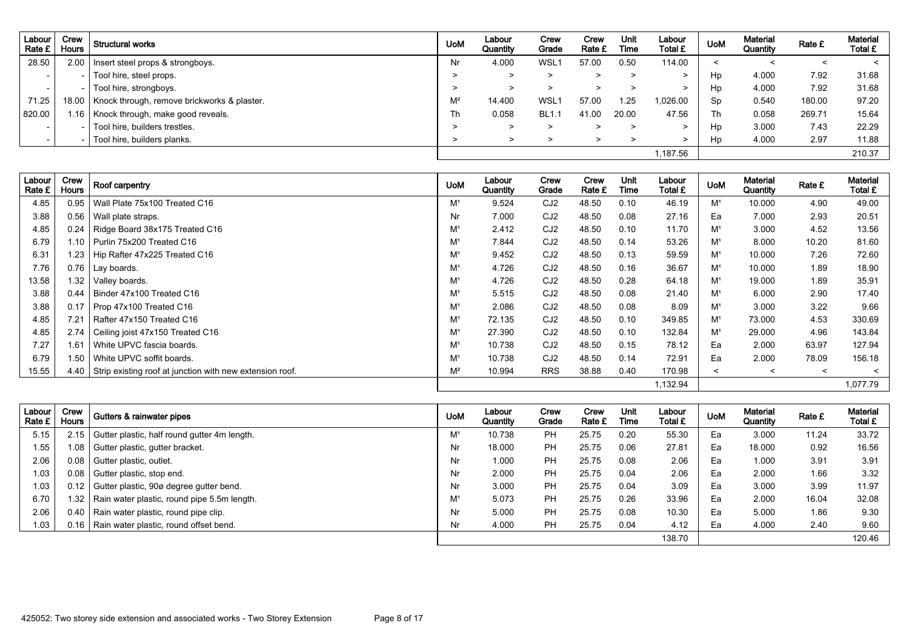| Labour '<br>Rate £       | Crew<br><b>Hours</b> | <b>Structural works</b>                     | <b>UoM</b> | Labour<br>Quantity | Crew<br>Grade | Crew<br>Rate £ | Unit<br>Time | Labour<br>Total £ | <b>UoM</b> | <b>Material</b><br>Quantity | Rate £  | Material<br>Total £ |
|--------------------------|----------------------|---------------------------------------------|------------|--------------------|---------------|----------------|--------------|-------------------|------------|-----------------------------|---------|---------------------|
| 28.50                    | 2.00                 | Insert steel props & strongboys.            | Nr         | 4.000              | <b>WSL1</b>   | 57.00          | 0.50         | 114.00            | ≺          |                             | $\,<\,$ | $\prec$             |
| $\overline{\phantom{0}}$ |                      | Tool hire, steel props.                     |            | >                  | >             |                | >            | >                 | Hp         | 4.000                       | 7.92    | 31.68               |
| $\overline{\phantom{0}}$ |                      | Tool hire, strongboys.                      |            | >                  | >             |                |              | >                 | Hp         | 4.000                       | 7.92    | 31.68               |
| 71.25                    | 18.00                | Knock through, remove brickworks & plaster. | $M^2$      | 14.400             | WSL1          | 57.00          | 1.25         | 1,026.00          | Sp         | 0.540                       | 180.00  | 97.20               |
| 820.00                   | 1.16                 | Knock through, make good reveals.           | Th         | 0.058              | <b>BL1.1</b>  | 41.00          | 20.00        | 47.56             | Th         | 0.058                       | 269.71  | 15.64               |
| $\overline{\phantom{0}}$ |                      | Tool hire, builders trestles.               |            | >                  | >             |                | >            | >                 | Hp         | 3.000                       | 7.43    | 22.29               |
|                          |                      | Tool hire, builders planks.                 |            | >                  |               | >              | >            | >                 | Hp         | 4.000                       | 2.97    | 11.88               |
|                          |                      |                                             |            |                    |               |                |              | 1,187.56          |            |                             |         | 210.37              |

| Labour<br>Rate £ | Crew<br><b>Hours</b> | Roof carpentry                                           | <b>UoM</b>     | Labour<br>Quantity | Crew<br>Grade   | Crew<br>Rate £ | <b>Unit</b><br>Time | Labour<br>Total £ | <b>UoM</b>     | <b>Material</b><br>Quantity | Rate £  | <b>Material</b><br>Total £ |
|------------------|----------------------|----------------------------------------------------------|----------------|--------------------|-----------------|----------------|---------------------|-------------------|----------------|-----------------------------|---------|----------------------------|
| 4.85             | 0.95                 | Wall Plate 75x100 Treated C16                            | M <sup>1</sup> | 9.524              | CJ <sub>2</sub> | 48.50          | 0.10                | 46.19             | M <sup>1</sup> | 10.000                      | 4.90    | 49.00                      |
| 3.88             | 0.56                 | Wall plate straps.                                       | Nr             | 7.000              | CJ <sub>2</sub> | 48.50          | 0.08                | 27.16             | Ea             | 7.000                       | 2.93    | 20.51                      |
| 4.85             | 0.24                 | Ridge Board 38x175 Treated C16                           | M <sup>1</sup> | 2.412              | CJ <sub>2</sub> | 48.50          | 0.10                | 11.70             | M <sup>1</sup> | 3.000                       | 4.52    | 13.56                      |
| 6.79             | 1.10                 | I Purlin 75x200 Treated C16                              | M <sup>1</sup> | 7.844              | CJ <sub>2</sub> | 48.50          | 0.14                | 53.26             | M <sup>1</sup> | 8.000                       | 10.20   | 81.60                      |
| 6.31             | 1.23                 | Hip Rafter 47x225 Treated C16                            | M <sup>1</sup> | 9.452              | CJ <sub>2</sub> | 48.50          | 0.13                | 59.59             | M <sup>1</sup> | 10.000                      | 7.26    | 72.60                      |
| 7.76             | 0.76                 | Lay boards.                                              | M <sup>1</sup> | 4.726              | CJ <sub>2</sub> | 48.50          | 0.16                | 36.67             | M <sup>1</sup> | 10.000                      | 1.89    | 18.90                      |
| 13.58            | 1.32                 | Valley boards.                                           | M <sup>1</sup> | 4.726              | CJ <sub>2</sub> | 48.50          | 0.28                | 64.18             | M <sup>1</sup> | 19.000                      | 1.89    | 35.91                      |
| 3.88             | 0.44                 | Binder 47x100 Treated C16                                | M <sup>1</sup> | 5.515              | CJ <sub>2</sub> | 48.50          | 0.08                | 21.40             | M <sup>1</sup> | 6.000                       | 2.90    | 17.40                      |
| 3.88             | 0.17                 | Prop 47x100 Treated C16                                  | M <sup>1</sup> | 2.086              | CJ <sub>2</sub> | 48.50          | 0.08                | 8.09              | M <sup>1</sup> | 3.000                       | 3.22    | 9.66                       |
| 4.85             | 7.21                 | Rafter 47x150 Treated C16                                | M <sup>1</sup> | 72.135             | CJ <sub>2</sub> | 48.50          | 0.10                | 349.85            | M <sup>1</sup> | 73,000                      | 4.53    | 330.69                     |
| 4.85             | 2.74                 | Ceiling joist 47x150 Treated C16                         | M <sup>1</sup> | 27.390             | CJ <sub>2</sub> | 48.50          | 0.10                | 132.84            | M <sup>1</sup> | 29.000                      | 4.96    | 143.84                     |
| 7.27             | 1.61                 | White UPVC fascia boards.                                | M <sup>1</sup> | 10.738             | CJ <sub>2</sub> | 48.50          | 0.15                | 78.12             | Ea             | 2.000                       | 63.97   | 127.94                     |
| 6.79             | 1.50                 | White UPVC soffit boards.                                | M <sup>1</sup> | 10.738             | CJ <sub>2</sub> | 48.50          | 0.14                | 72.91             | Ea             | 2.000                       | 78.09   | 156.18                     |
| 15.55            | 4.40                 | Strip existing roof at junction with new extension roof. | $M^2$          | 10.994             | <b>RRS</b>      | 38.88          | 0.40                | 170.98            | $\prec$        | $\prec$                     | $\prec$ | $\prec$                    |
|                  |                      |                                                          |                |                    |                 |                |                     | 1,132.94          |                |                             |         | 1,077.79                   |

| Labour<br>Rate £ | Crew<br><b>Hours</b> | Gutters & rainwater pipes                     | <b>UoM</b>     | Labour<br>Quantity | Crew<br>Grade | Crew<br>Rate £ | Unit<br>Time | Labour<br><b>Total £</b> | <b>UoM</b> | <b>Material</b><br>Quantity | Rate £ | <b>Material</b><br>Total £ |
|------------------|----------------------|-----------------------------------------------|----------------|--------------------|---------------|----------------|--------------|--------------------------|------------|-----------------------------|--------|----------------------------|
| 5.15             |                      | Gutter plastic, half round gutter 4m length.  | M <sup>1</sup> | 10.738             | <b>PH</b>     | 25.75          | 0.20         | 55.30                    | Ea         | 3.000                       | 11.24  | 33.72                      |
| 1.55             | 1.08 l               | Gutter plastic, gutter bracket.               | Nr             | 18.000             | <b>PH</b>     | 25.75          | 0.06         | 27.81                    | Ea         | 18.000                      | 0.92   | 16.56                      |
| 2.06             | 0.08                 | Gutter plastic, outlet.                       | Nr             | 1.000              | <b>PH</b>     | 25.75          | 0.08         | 2.06                     | Ea         | 1.000                       | 3.91   | 3.91                       |
| 1.03             | 0.08                 | Gutter plastic, stop end.                     | Nr             | 2.000              | <b>PH</b>     | 25.75          | 0.04         | 2.06                     | Ea         | 2.000                       | 1.66   | 3.32                       |
| 1.03             | $0.12$ 1             | Gutter plastic, 90ø degree gutter bend.       | Nr             | 3.000              | <b>PH</b>     | 25.75          | 0.04         | 3.09                     | Ea         | 3.000                       | 3.99   | 11.97                      |
| 6.70             | 1.32 I               | Rain water plastic, round pipe 5.5m length.   | M <sup>1</sup> | 5.073              | <b>PH</b>     | 25.75          | 0.26         | 33.96                    | Ea         | 2.000                       | 16.04  | 32.08                      |
| 2.06             |                      | 0.40   Rain water plastic, round pipe clip.   | Nr             | 5.000              | <b>PH</b>     | 25.75          | 0.08         | 10.30                    | Ea         | 5.000                       | 1.86   | 9.30                       |
| 1.03             |                      | 0.16   Rain water plastic, round offset bend. | Nr             | 4.000              | <b>PH</b>     | 25.75          | 0.04         | 4.12                     | Ea         | 4.000                       | 2.40   | 9.60                       |
|                  |                      |                                               |                |                    |               |                |              | 138.70                   |            |                             |        | 120.46                     |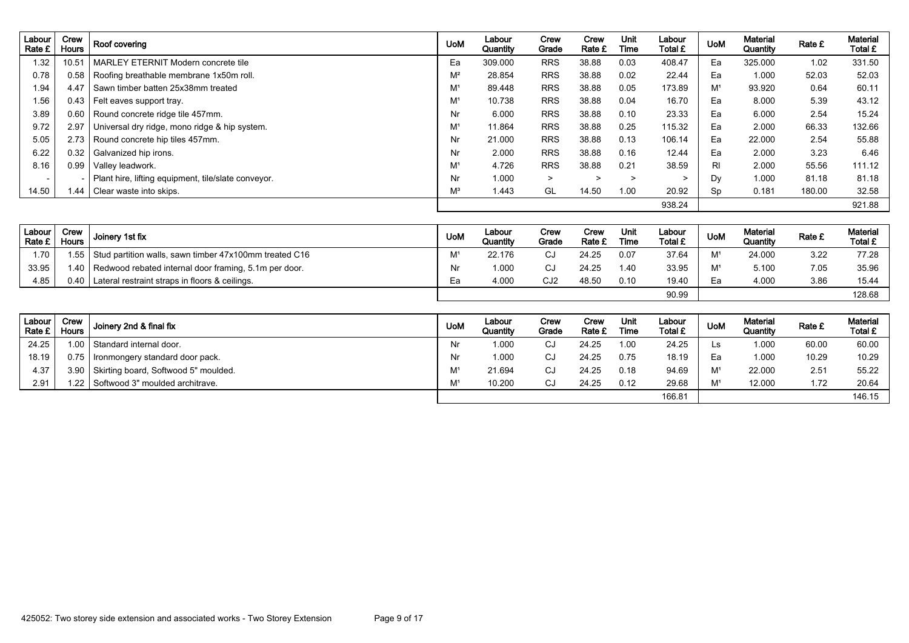| Labour<br>Rate £ | Crew<br><b>Hours</b> | Roof covering                                        | <b>UoM</b>     | Labour<br>Quantity | Crew<br>Grade | Crew<br>Rate £ | Unit<br>Time | Labour<br>Total £ | <b>UoM</b>     | <b>Material</b><br>Quantity | Rate £ | Material<br>Total £ |
|------------------|----------------------|------------------------------------------------------|----------------|--------------------|---------------|----------------|--------------|-------------------|----------------|-----------------------------|--------|---------------------|
| 1.32             | 10.51                | MARLEY ETERNIT Modern concrete tile                  | Ea             | 309.000            | <b>RRS</b>    | 38.88          | 0.03         | 408.47            | Ea             | 325.000                     | 1.02   | 331.50              |
| 0.78             |                      | 0.58   Roofing breathable membrane 1x50m roll.       | $M^2$          | 28.854             | <b>RRS</b>    | 38.88          | 0.02         | 22.44             | Ea             | 1.000                       | 52.03  | 52.03               |
| 1.94             | 4.47                 | Sawn timber batten 25x38mm treated                   | M <sup>1</sup> | 89.448             | <b>RRS</b>    | 38.88          | 0.05         | 173.89            | M <sup>1</sup> | 93.920                      | 0.64   | 60.11               |
| 1.56             |                      | 0.43   Felt eaves support tray.                      | M <sup>1</sup> | 10.738             | <b>RRS</b>    | 38.88          | 0.04         | 16.70             | Ea             | 8.000                       | 5.39   | 43.12               |
| 3.89             |                      | 0.60   Round concrete ridge tile 457mm.              | Nr             | 6.000              | <b>RRS</b>    | 38.88          | 0.10         | 23.33             | Ea             | 6.000                       | 2.54   | 15.24               |
| 9.72             |                      | 2.97   Universal dry ridge, mono ridge & hip system. | M <sup>1</sup> | 11.864             | <b>RRS</b>    | 38.88          | 0.25         | 115.32            | Ea             | 2.000                       | 66.33  | 132.66              |
| 5.05             |                      | 2.73   Round concrete hip tiles 457mm.               | Nr             | 21.000             | <b>RRS</b>    | 38.88          | 0.13         | 106.14            | Ea             | 22,000                      | 2.54   | 55.88               |
| 6.22             |                      | 0.32 Galvanized hip irons.                           | Nr             | 2.000              | <b>RRS</b>    | 38.88          | 0.16         | 12.44             | Ea             | 2.000                       | 3.23   | 6.46                |
| 8.16             | 0.99                 | Valley leadwork.                                     | M <sup>1</sup> | 4.726              | <b>RRS</b>    | 38.88          | 0.21         | 38.59             | RI.            | 2.000                       | 55.56  | 111.12              |
|                  |                      | Plant hire, lifting equipment, tile/slate conveyor.  | Nr             | 1.000              | $\geq$        | >              | $\geq$       | ⋗                 | Dy             | 1.000                       | 81.18  | 81.18               |
| 14.50            | .44                  | Clear waste into skips.                              | $M^3$          | 1.443              | GL            | 14.50          | 1.00         | 20.92             | Sp             | 0.181                       | 180.00 | 32.58               |
|                  |                      |                                                      |                |                    |               |                |              | 938.24            |                |                             |        | 921.88              |

| Labour<br>Rate £ | Crew<br><b>Hours</b> | Joinery 1st fix                                              | <b>UoM</b> | ∟abour<br>Quantity | Crew<br>Grade   | Crew<br>Rate £ | Unit<br>Time | Labour<br>Total £ | <b>UoM</b>     | <b>Material</b><br>Quantity | Rate £ | <b>Material</b><br>Total £ |
|------------------|----------------------|--------------------------------------------------------------|------------|--------------------|-----------------|----------------|--------------|-------------------|----------------|-----------------------------|--------|----------------------------|
| 1.70             |                      | 1.55 Stud partition walls, sawn timber 47x100mm treated C16  | M          | 22.176             | $\sim$<br>س     | 24.25          | 0.07         | 37.64             | M <sup>1</sup> | 24.000                      | 3.22   | 77.28                      |
| 33.95            |                      | 1.40   Redwood rebated internal door framing, 5.1m per door. | Nr         | 1.000              | CJ              | 24.25          | 1.40         | 33.95             | M <sup>1</sup> | 5.100                       | 7.05   | 35.96                      |
| 4.85             | 0.40                 | Lateral restraint straps in floors & ceilings.               | Ea         | 4.000              | CJ <sub>2</sub> | 48.50          | 0.10         | 19.40             | Ea             | 4.000                       | 3.86   | 15.44                      |
|                  |                      |                                                              |            |                    |                 |                |              | 90.99             |                |                             |        | 128.68                     |

| Labour<br>Rate $E_1$ | Crew<br><b>Hours</b> | Joinery 2nd & final fix              | <b>UoM</b> | Labour<br>Quantity | Crew<br>Grade | Crew<br>Rate £ | Unit<br>Time | Labour<br>Total £ | <b>UoM</b>     | <b>Material</b><br>Quantity | Rate £        | <b>Material</b><br>Total £ |
|----------------------|----------------------|--------------------------------------|------------|--------------------|---------------|----------------|--------------|-------------------|----------------|-----------------------------|---------------|----------------------------|
| 24.25                | 1.00                 | Standard internal door.              | Nr         | 1.000              | CJ            | 24.25          | 1.00         | 24.25             | LS.            | 1.000                       | 60.00         | 60.00                      |
| 18.19                | 0.75                 | I Ironmongery standard door pack.    | Nr         | 1.000              | CJ            | 24.25          | 0.75         | 18.19             | Eа             | 1.000                       | 10.29         | 10.29                      |
| 4.37                 | 3.90                 | Skirting board, Softwood 5" moulded. | M          | 21.694             | CJ            | 24.25          | 0.18         | 94.69             | M <sup>1</sup> | 22.000                      | $2.5^{\circ}$ | 55.22                      |
| 2.91                 |                      | 1.22 Softwood 3" moulded architrave. | M          | 10.200             | CJ            | 24.25          | 0.12         | 29.68             | <b>M1</b>      | 12.000                      | 1.72          | 20.64                      |
|                      |                      |                                      |            |                    |               |                |              | 166.81            |                |                             |               | 146.15                     |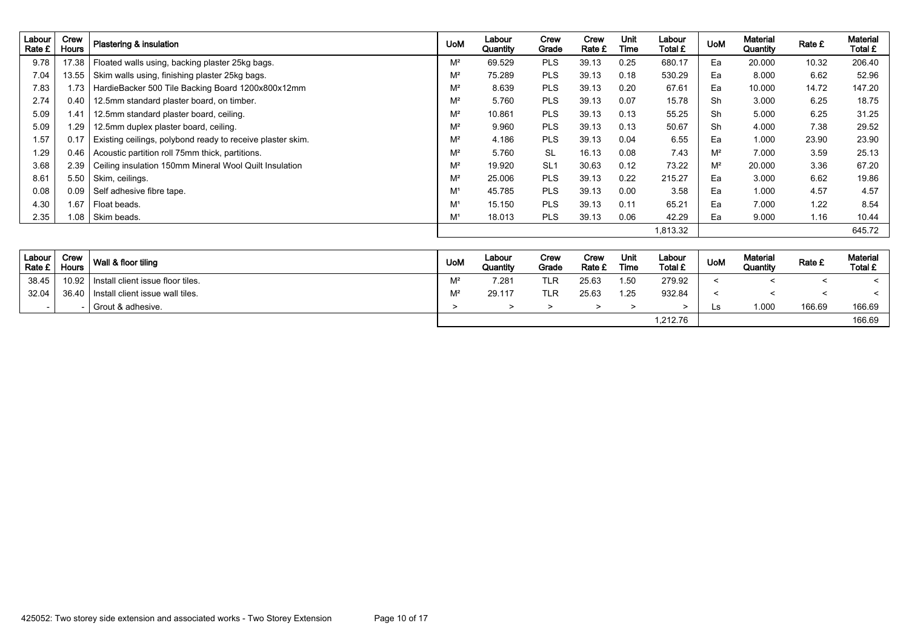| Labour<br>Rate £ | Crew<br><b>Hours</b> | Plastering & insulation                                    | <b>UoM</b>     | Labour<br>Quantity | Crew<br>Grade   | Crew<br>Rate £ | Unit<br>Time | Labour<br>Total £ | <b>UoM</b> | <b>Material</b><br>Quantity | Rate £ | <b>Material</b><br>Total £ |
|------------------|----------------------|------------------------------------------------------------|----------------|--------------------|-----------------|----------------|--------------|-------------------|------------|-----------------------------|--------|----------------------------|
| 9.78             | 17.38                | Floated walls using, backing plaster 25kg bags.            | $M^2$          | 69.529             | <b>PLS</b>      | 39.13          | 0.25         | 680.17            | Ea         | 20.000                      | 10.32  | 206.40                     |
| 7.04             | 13.55                | Skim walls using, finishing plaster 25kg bags.             | $M^2$          | 75.289             | <b>PLS</b>      | 39.13          | 0.18         | 530.29            | Ea         | 8.000                       | 6.62   | 52.96                      |
| 7.83             | 1.73                 | HardieBacker 500 Tile Backing Board 1200x800x12mm          | $M^2$          | 8.639              | <b>PLS</b>      | 39.13          | 0.20         | 67.61             | Ea         | 10.000                      | 14.72  | 147.20                     |
| 2.74             | 0.40                 | 12.5mm standard plaster board, on timber.                  | $M^2$          | 5.760              | <b>PLS</b>      | 39.13          | 0.07         | 15.78             | Sh         | 3.000                       | 6.25   | 18.75                      |
| 5.09             | 1.41                 | 12.5mm standard plaster board, ceiling.                    | $M^2$          | 10.861             | <b>PLS</b>      | 39.13          | 0.13         | 55.25             | Sh         | 5.000                       | 6.25   | 31.25                      |
| 5.09             | 1.29                 | 12.5mm duplex plaster board, ceiling.                      | $M^2$          | 9.960              | <b>PLS</b>      | 39.13          | 0.13         | 50.67             | Sh         | 4.000                       | 7.38   | 29.52                      |
| 1.57             | 0.17                 | Existing ceilings, polybond ready to receive plaster skim. | $M^2$          | 4.186              | <b>PLS</b>      | 39.13          | 0.04         | 6.55              | Ea         | 1.000                       | 23.90  | 23.90                      |
| 1.29             | 0.46                 | Acoustic partition roll 75mm thick, partitions.            | $M^2$          | 5.760              | <b>SL</b>       | 16.13          | 0.08         | 7.43              | $M^2$      | 7.000                       | 3.59   | 25.13                      |
| 3.68             | 2.39                 | Ceiling insulation 150mm Mineral Wool Quilt Insulation     | $M^2$          | 19.920             | SL <sub>1</sub> | 30.63          | 0.12         | 73.22             | $M^2$      | 20.000                      | 3.36   | 67.20                      |
| 8.61             | 5.50                 | Skim, ceilings.                                            | $M^2$          | 25.006             | <b>PLS</b>      | 39.13          | 0.22         | 215.27            | Ea         | 3.000                       | 6.62   | 19.86                      |
| 0.08             | 0.09                 | Self adhesive fibre tape.                                  | M <sup>1</sup> | 45.785             | <b>PLS</b>      | 39.13          | 0.00         | 3.58              | Ea         | 1.000                       | 4.57   | 4.57                       |
| 4.30             | 1.67                 | Float beads.                                               | M <sup>1</sup> | 15.150             | <b>PLS</b>      | 39.13          | 0.11         | 65.21             | Ea         | 7.000                       | 1.22   | 8.54                       |
| 2.35             | 1.08                 | Skim beads.                                                | M <sup>1</sup> | 18.013             | <b>PLS</b>      | 39.13          | 0.06         | 42.29             | Ea         | 9.000                       | 1.16   | 10.44                      |
|                  |                      |                                                            |                |                    |                 |                |              | 1,813.32          |            |                             |        | 645.72                     |

| Labour<br>Rate £ | Crew<br><b>Hours</b> | Wall & floor tiling               | <b>UoM</b> | Labour<br>Quantity | Crew<br>Grade | Crew<br>Rate £ | Unit<br>Time | Labour<br>Total £ | <b>UoM</b> | <b>Material</b><br>Quantity | Rate £ | <b>Material</b><br>Total £ |
|------------------|----------------------|-----------------------------------|------------|--------------------|---------------|----------------|--------------|-------------------|------------|-----------------------------|--------|----------------------------|
| 38.45            | 10.92                | Install client issue floor tiles. | $M^2$      | 7.281              | TLR           | 25.63          | 1.50         | 279.92            |            |                             |        |                            |
| 32.04            | 36.40                | Install client issue wall tiles.  | $M^2$      | 29.117             | TLR           | 25.63          | 1.25         | 932.84            |            |                             |        |                            |
|                  |                      | Grout & adhesive.                 |            |                    |               |                |              |                   | Ls         | 000. ا                      | 166.69 | 166.69                     |
|                  |                      |                                   |            |                    |               |                |              | 1,212.76          |            |                             |        | 166.69                     |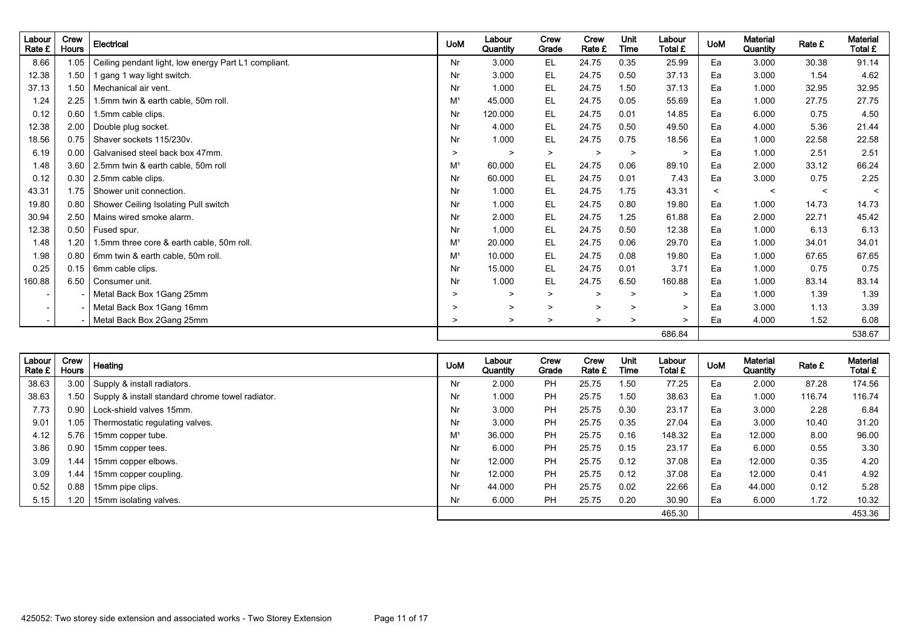| Labour<br>Rate £         | Crew<br><b>Hours</b> | Electrical                                           | <b>UoM</b>     | Labour<br>Quantity | Crew<br>Grade | Crew<br>Rate £ | <b>Unit</b><br>Time | Labour<br>Total £ | <b>UoM</b> | <b>Material</b><br>Quantity | Rate £  | <b>Material</b><br>Total £ |
|--------------------------|----------------------|------------------------------------------------------|----------------|--------------------|---------------|----------------|---------------------|-------------------|------------|-----------------------------|---------|----------------------------|
| 8.66                     | 1.05                 | Ceiling pendant light, low energy Part L1 compliant. | Nr             | 3.000              | <b>EL</b>     | 24.75          | 0.35                | 25.99             | Ea         | 3.000                       | 30.38   | 91.14                      |
| 12.38                    | 1.50                 | 1 gang 1 way light switch.                           | Nr             | 3.000              | EL.           | 24.75          | 0.50                | 37.13             | Ea         | 3.000                       | 1.54    | 4.62                       |
| 37.13                    | 1.50                 | Mechanical air vent.                                 | Nr             | 1.000              | EL            | 24.75          | 1.50                | 37.13             | Ea         | 1.000                       | 32.95   | 32.95                      |
| 1.24                     | 2.25                 | 1.5mm twin & earth cable, 50m roll.                  | M <sup>1</sup> | 45.000             | EL            | 24.75          | 0.05                | 55.69             | Ea         | 1.000                       | 27.75   | 27.75                      |
| 0.12                     | 0.60                 | 1.5mm cable clips.                                   | Nr             | 120.000            | EL            | 24.75          | 0.01                | 14.85             | Ea         | 6.000                       | 0.75    | 4.50                       |
| 12.38                    | 2.00                 | Double plug socket.                                  | Nr             | 4.000              | EL.           | 24.75          | 0.50                | 49.50             | Eа         | 4.000                       | 5.36    | 21.44                      |
| 18.56                    | 0.75                 | Shaver sockets 115/230v.                             | Nr             | 1.000              | EL            | 24.75          | 0.75                | 18.56             | Ea         | 1.000                       | 22.58   | 22.58                      |
| 6.19                     | 0.00                 | Galvanised steel back box 47mm.                      | $\geq$         | $\geq$             | $\geq$        | $\geq$         | $\geq$              | $\geq$            | Ea         | 1.000                       | 2.51    | 2.51                       |
| 1.48                     | 3.60                 | 2.5mm twin & earth cable, 50m roll                   | M <sup>1</sup> | 60.000             | <b>EL</b>     | 24.75          | 0.06                | 89.10             | Ea         | 2.000                       | 33.12   | 66.24                      |
| 0.12                     | 0.30                 | 2.5mm cable clips.                                   | Nr             | 60.000             | EL            | 24.75          | 0.01                | 7.43              | Ea         | 3.000                       | 0.75    | 2.25                       |
| 43.31                    | 1.75                 | Shower unit connection.                              | Nr             | 1.000              | EL            | 24.75          | 1.75                | 43.31             | $\prec$    | $\prec$                     | $\prec$ | $\prec$                    |
| 19.80                    | 0.80                 | Shower Ceiling Isolating Pull switch                 | Nr             | 1.000              | <b>EL</b>     | 24.75          | 0.80                | 19.80             | Ea         | 1.000                       | 14.73   | 14.73                      |
| 30.94                    | 2.50                 | Mains wired smoke alarm.                             | Nr             | 2.000              | <b>EL</b>     | 24.75          | 1.25                | 61.88             | Ea         | 2.000                       | 22.71   | 45.42                      |
| 12.38                    | 0.50                 | Fused spur.                                          | Nr             | 1.000              | <b>EL</b>     | 24.75          | 0.50                | 12.38             | Ea         | 1.000                       | 6.13    | 6.13                       |
| 1.48                     | 1.20                 | 1.5mm three core & earth cable, 50m roll.            | M <sup>1</sup> | 20.000             | EL            | 24.75          | 0.06                | 29.70             | Ea         | 1.000                       | 34.01   | 34.01                      |
| 1.98                     | 0.80                 | 6mm twin & earth cable, 50m roll.                    | M <sup>1</sup> | 10.000             | EL            | 24.75          | 0.08                | 19.80             | Ea         | 1.000                       | 67.65   | 67.65                      |
| 0.25                     | 0.15                 | 6mm cable clips.                                     | Nr             | 15.000             | EL            | 24.75          | 0.01                | 3.71              | Ea         | 1.000                       | 0.75    | 0.75                       |
| 160.88                   | 6.50                 | Consumer unit.                                       | Nr             | 1.000              | EL            | 24.75          | 6.50                | 160.88            | Ea         | 1.000                       | 83.14   | 83.14                      |
| $\overline{\phantom{a}}$ |                      | Metal Back Box 1Gang 25mm                            | >              | $\geq$             | $\geq$        | >              | $\geq$              | $\geq$            | Ea         | 1.000                       | 1.39    | 1.39                       |
| $\overline{\phantom{a}}$ |                      | Metal Back Box 1Gang 16mm                            | >              | $\geq$             | $\mathbf{L}$  | $\geq$         | $\geq$              | $\geq$            | Ea         | 3.000                       | 1.13    | 3.39                       |
| $\overline{a}$           |                      | Metal Back Box 2Gang 25mm                            | $\geq$         | $\geq$             | $\geq$        | $\geq$         | $\geq$              | $\geq$            | Ea         | 4.000                       | 1.52    | 6.08                       |
|                          |                      |                                                      |                |                    |               |                |                     | 686.84            |            |                             |         | 538.67                     |

| Labour<br>Rate £ | Crew<br><b>Hours</b> | Heating                                               | <b>UoM</b>     | Labour<br>Quantity | Crew<br>Grade | Crew<br>Rate £ | Unit<br>Time | Labour<br>Total £ | <b>UoM</b> | Material<br>Quantity | Rate £ | <b>Material</b><br>Total £ |
|------------------|----------------------|-------------------------------------------------------|----------------|--------------------|---------------|----------------|--------------|-------------------|------------|----------------------|--------|----------------------------|
| 38.63            | 3.00                 | Supply & install radiators.                           | Nr             | 2.000              | <b>PH</b>     | 25.75          | 1.50         | 77.25             | Ea         | 2.000                | 87.28  | 174.56                     |
| 38.63            |                      | 1.50 Supply & install standard chrome towel radiator. | Nr             | 1.000              | <b>PH</b>     | 25.75          | 1.50         | 38.63             | Ea         | 1.000                | 116.74 | 116.74                     |
| 7.73             | 0.90                 | Lock-shield valves 15mm.                              | Nr             | 3.000              | <b>PH</b>     | 25.75          | 0.30         | 23.17             | Ea         | 3.000                | 2.28   | 6.84                       |
| 9.01             | 1.05                 | Thermostatic regulating valves.                       | Nr             | 3.000              | <b>PH</b>     | 25.75          | 0.35         | 27.04             | Ea         | 3.000                | 10.40  | 31.20                      |
| 4.12             | 5.76                 | 15mm copper tube.                                     | M <sup>1</sup> | 36.000             | PH            | 25.75          | 0.16         | 148.32            | Ea         | 12.000               | 8.00   | 96.00                      |
| 3.86             | 0.90                 | 15mm copper tees.                                     | Nr             | 6.000              | PH            | 25.75          | 0.15         | 23.17             | Ea         | 6.000                | 0.55   | 3.30                       |
| 3.09             | 1.44                 | 15mm copper elbows.                                   | Nr             | 12.000             | PH            | 25.75          | 0.12         | 37.08             | Ea         | 12.000               | 0.35   | 4.20                       |
| 3.09             | 1.44                 | 15mm copper coupling.                                 | Nr             | 12.000             | PH            | 25.75          | 0.12         | 37.08             | Ea         | 12.000               | 0.41   | 4.92                       |
| 0.52             | 0.88                 | 15mm pipe clips.                                      | Nr             | 44.000             | PH            | 25.75          | 0.02         | 22.66             | Ea         | 44.000               | 0.12   | 5.28                       |
| 5.15             | 1.20                 | 15mm isolating valves.                                | Nr             | 6.000              | <b>PH</b>     | 25.75          | 0.20         | 30.90             | Ea         | 6.000                | 1.72   | 10.32                      |
|                  |                      |                                                       |                |                    |               |                |              | 465.30            |            |                      |        | 453.36                     |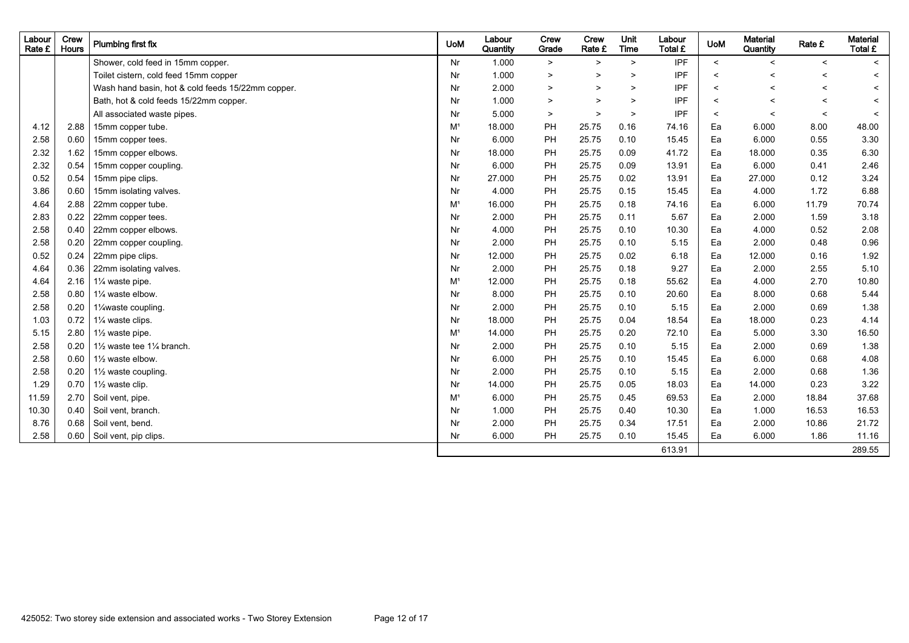| Labour<br>Rate £ | Crew<br><b>Hours</b> | Plumbing first fix                                | <b>UoM</b>     | Labour<br>Quantity | Crew<br>Grade | Crew<br>Rate £ | Unit<br><b>Time</b> | Labour<br>Total £ | <b>UoM</b> | <b>Material</b><br>Quantity | Rate £                   | <b>Material</b><br>Total £ |
|------------------|----------------------|---------------------------------------------------|----------------|--------------------|---------------|----------------|---------------------|-------------------|------------|-----------------------------|--------------------------|----------------------------|
|                  |                      | Shower, cold feed in 15mm copper.                 | Nr             | 1.000              | $\geq$        | $\geq$         | $\geq$              | <b>IPF</b>        | $\prec$    | $\overline{\phantom{0}}$    | $\prec$                  | $\prec$                    |
|                  |                      | Toilet cistern, cold feed 15mm copper             | Nr             | 1.000              | $\,>\,$       | $\geq$         | $\geq$              | <b>IPF</b>        | $\,<$      | $\overline{\phantom{0}}$    | $\overline{\phantom{0}}$ | $\prec$                    |
|                  |                      | Wash hand basin, hot & cold feeds 15/22mm copper. | Nr             | 2.000              | $\geq$        | $\geq$         | $\geq$              | <b>IPF</b>        | $\,<$      | $\overline{\phantom{0}}$    | $\overline{\phantom{0}}$ | $\prec$                    |
|                  |                      | Bath, hot & cold feeds 15/22mm copper.            | Nr             | 1.000              | $\,$          | $\geq$         | $\geq$              | <b>IPF</b>        | $\,<$      | $\overline{\phantom{0}}$    | $\prec$                  | $\overline{\phantom{0}}$   |
|                  |                      | All associated waste pipes.                       | Nr             | 5.000              | $\geq$        | $\geq$         | $\geq$              | <b>IPF</b>        | $\prec$    | $\overline{\phantom{0}}$    | $\prec$                  | $\prec$                    |
| 4.12             | 2.88                 | 15mm copper tube.                                 | M <sup>1</sup> | 18.000             | PH            | 25.75          | 0.16                | 74.16             | Ea         | 6.000                       | 8.00                     | 48.00                      |
| 2.58             | 0.60                 | 15mm copper tees.                                 | Nr             | 6.000              | PH            | 25.75          | 0.10                | 15.45             | Ea         | 6.000                       | 0.55                     | 3.30                       |
| 2.32             | 1.62                 | 15mm copper elbows.                               | Nr             | 18.000             | PH            | 25.75          | 0.09                | 41.72             | Ea         | 18.000                      | 0.35                     | 6.30                       |
| 2.32             | 0.54                 | 15mm copper coupling.                             | Nr             | 6.000              | PH            | 25.75          | 0.09                | 13.91             | Ea         | 6.000                       | 0.41                     | 2.46                       |
| 0.52             | 0.54                 | 15mm pipe clips.                                  | Nr             | 27.000             | PH            | 25.75          | 0.02                | 13.91             | Ea         | 27.000                      | 0.12                     | 3.24                       |
| 3.86             | 0.60                 | 15mm isolating valves.                            | Nr             | 4.000              | PH            | 25.75          | 0.15                | 15.45             | Ea         | 4.000                       | 1.72                     | 6.88                       |
| 4.64             | 2.88                 | 22mm copper tube.                                 | M <sup>1</sup> | 16.000             | PH            | 25.75          | 0.18                | 74.16             | Ea         | 6.000                       | 11.79                    | 70.74                      |
| 2.83             | 0.22                 | 22mm copper tees.                                 | Nr             | 2.000              | PH            | 25.75          | 0.11                | 5.67              | Ea         | 2.000                       | 1.59                     | 3.18                       |
| 2.58             | 0.40                 | 22mm copper elbows.                               | Nr             | 4.000              | PH            | 25.75          | 0.10                | 10.30             | Ea         | 4.000                       | 0.52                     | 2.08                       |
| 2.58             | 0.20                 | 22mm copper coupling.                             | Nr             | 2.000              | PH            | 25.75          | 0.10                | 5.15              | Ea         | 2.000                       | 0.48                     | 0.96                       |
| 0.52             | 0.24                 | 22mm pipe clips.                                  | Nr             | 12.000             | PH            | 25.75          | 0.02                | 6.18              | Ea         | 12.000                      | 0.16                     | 1.92                       |
| 4.64             | 0.36                 | 22mm isolating valves.                            | Nr             | 2.000              | PH            | 25.75          | 0.18                | 9.27              | Ea         | 2.000                       | 2.55                     | 5.10                       |
| 4.64             | 2.16                 | 1% waste pipe.                                    | M <sup>1</sup> | 12.000             | PH            | 25.75          | 0.18                | 55.62             | Ea         | 4.000                       | 2.70                     | 10.80                      |
| 2.58             | 0.80                 | 11/4 waste elbow.                                 | Nr             | 8.000              | PH            | 25.75          | 0.10                | 20.60             | Ea         | 8.000                       | 0.68                     | 5.44                       |
| 2.58             | 0.20                 | 1% waste coupling.                                | Nr             | 2.000              | PH            | 25.75          | 0.10                | 5.15              | Ea         | 2.000                       | 0.69                     | 1.38                       |
| 1.03             | 0.72                 | 1% waste clips.                                   | Nr             | 18.000             | PH            | 25.75          | 0.04                | 18.54             | Ea         | 18.000                      | 0.23                     | 4.14                       |
| 5.15             | 2.80                 | $1\frac{1}{2}$ waste pipe.                        | M <sup>1</sup> | 14.000             | PH            | 25.75          | 0.20                | 72.10             | Ea         | 5.000                       | 3.30                     | 16.50                      |
| 2.58             | 0.20                 | 11/2 waste tee 11/4 branch.                       | Nr             | 2.000              | PH            | 25.75          | 0.10                | 5.15              | Ea         | 2.000                       | 0.69                     | 1.38                       |
| 2.58             | 0.60                 | 11/2 waste elbow.                                 | Nr             | 6.000              | PH            | 25.75          | 0.10                | 15.45             | Ea         | 6.000                       | 0.68                     | 4.08                       |
| 2.58             | 0.20                 | 11/2 waste coupling.                              | Nr             | 2.000              | PH            | 25.75          | 0.10                | 5.15              | Ea         | 2.000                       | 0.68                     | 1.36                       |
| 1.29             | 0.70                 | 11/ <sub>2</sub> waste clip.                      | Nr             | 14.000             | PH            | 25.75          | 0.05                | 18.03             | Ea         | 14.000                      | 0.23                     | 3.22                       |
| 11.59            | 2.70                 | Soil vent, pipe.                                  | M <sup>1</sup> | 6.000              | PH            | 25.75          | 0.45                | 69.53             | Ea         | 2.000                       | 18.84                    | 37.68                      |
| 10.30            | 0.40                 | Soil vent, branch.                                | Nr             | 1.000              | PH            | 25.75          | 0.40                | 10.30             | Ea         | 1.000                       | 16.53                    | 16.53                      |
| 8.76             | 0.68                 | Soil vent, bend.                                  | Nr             | 2.000              | PH            | 25.75          | 0.34                | 17.51             | Ea         | 2.000                       | 10.86                    | 21.72                      |
| 2.58             | 0.60                 | Soil vent, pip clips.                             | Nr             | 6.000              | PH            | 25.75          | 0.10                | 15.45             | Ea         | 6.000                       | 1.86                     | 11.16                      |
|                  |                      |                                                   |                |                    |               |                |                     | 613.91            |            |                             |                          | 289.55                     |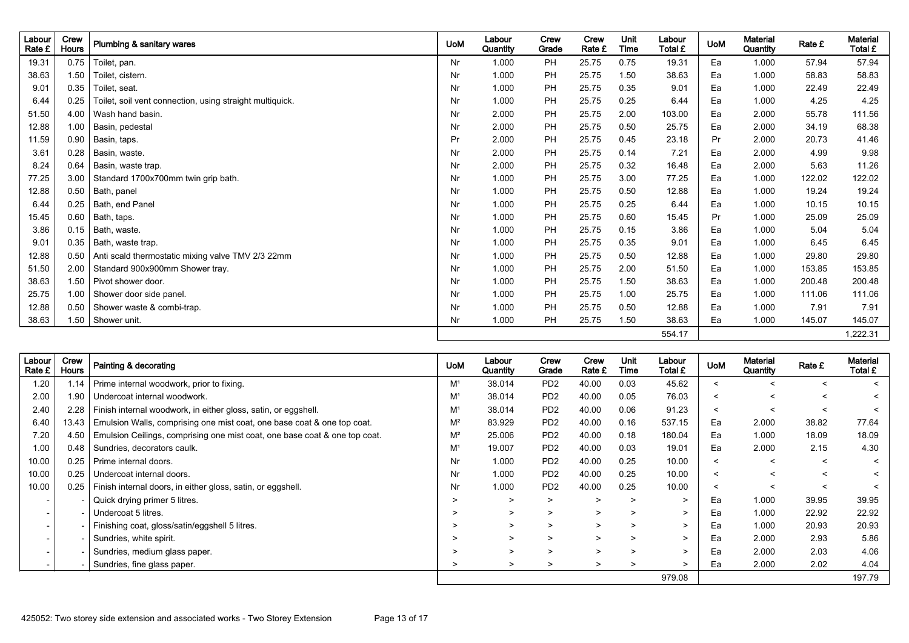| Labour<br>Rate £ | Crew<br>Hours | Plumbing & sanitary wares                                | <b>UoM</b> | Labour<br>Quantity | Crew<br>Grade | Crew<br>Rate £ | Unit<br>Time | Labour<br>Total £ | <b>UoM</b> | <b>Material</b><br>Quantity | Rate £ | <b>Material</b><br>Total £ |
|------------------|---------------|----------------------------------------------------------|------------|--------------------|---------------|----------------|--------------|-------------------|------------|-----------------------------|--------|----------------------------|
| 19.31            | 0.75          | Toilet, pan.                                             | Nr         | 1.000              | PH            | 25.75          | 0.75         | 19.31             | Ea         | 1.000                       | 57.94  | 57.94                      |
| 38.63            | 1.50          | Toilet, cistern.                                         | Nr         | 1.000              | PH            | 25.75          | 1.50         | 38.63             | Ea         | 1.000                       | 58.83  | 58.83                      |
| 9.01             | 0.35          | Toilet, seat.                                            | Nr         | 1.000              | PH            | 25.75          | 0.35         | 9.01              | Ea         | 1.000                       | 22.49  | 22.49                      |
| 6.44             | 0.25          | Toilet, soil vent connection, using straight multiquick. | Nr         | 1.000              | PH            | 25.75          | 0.25         | 6.44              | Ea         | 1.000                       | 4.25   | 4.25                       |
| 51.50            | 4.00          | Wash hand basin.                                         | Nr         | 2.000              | PH            | 25.75          | 2.00         | 103.00            | Ea         | 2.000                       | 55.78  | 111.56                     |
| 12.88            | 1.00          | Basin, pedestal                                          | Nr         | 2.000              | PH            | 25.75          | 0.50         | 25.75             | Ea         | 2.000                       | 34.19  | 68.38                      |
| 11.59            | 0.90          | Basin, taps.                                             | Pr         | 2.000              | PH            | 25.75          | 0.45         | 23.18             | Pr         | 2.000                       | 20.73  | 41.46                      |
| 3.61             | 0.28          | Basin, waste.                                            | Nr         | 2.000              | PH            | 25.75          | 0.14         | 7.21              | Ea         | 2.000                       | 4.99   | 9.98                       |
| 8.24             | 0.64          | Basin, waste trap.                                       | Nr         | 2.000              | PH            | 25.75          | 0.32         | 16.48             | Ea         | 2.000                       | 5.63   | 11.26                      |
| 77.25            | 3.00          | Standard 1700x700mm twin grip bath.                      | Nr         | 1.000              | PH            | 25.75          | 3.00         | 77.25             | Ea         | 1.000                       | 122.02 | 122.02                     |
| 12.88            | 0.50          | Bath, panel                                              | Nr         | 1.000              | PH            | 25.75          | 0.50         | 12.88             | Ea         | 1.000                       | 19.24  | 19.24                      |
| 6.44             | 0.25          | Bath, end Panel                                          | Nr         | 1.000              | PH            | 25.75          | 0.25         | 6.44              | Ea         | 1.000                       | 10.15  | 10.15                      |
| 15.45            | 0.60          | Bath, taps.                                              | Nr         | 1.000              | PH            | 25.75          | 0.60         | 15.45             | Pr         | 1.000                       | 25.09  | 25.09                      |
| 3.86             | 0.15          | Bath, waste.                                             | Nr         | 1.000              | PH            | 25.75          | 0.15         | 3.86              | Ea         | 1.000                       | 5.04   | 5.04                       |
| 9.01             | 0.35          | Bath, waste trap.                                        | Nr         | 1.000              | PH            | 25.75          | 0.35         | 9.01              | Ea         | 1.000                       | 6.45   | 6.45                       |
| 12.88            | 0.50          | Anti scald thermostatic mixing valve TMV 2/3 22mm        | Nr         | 1.000              | PH            | 25.75          | 0.50         | 12.88             | Ea         | 1.000                       | 29.80  | 29.80                      |
| 51.50            | 2.00          | Standard 900x900mm Shower tray.                          | Nr         | 1.000              | PH            | 25.75          | 2.00         | 51.50             | Ea         | 1.000                       | 153.85 | 153.85                     |
| 38.63            | 1.50          | Pivot shower door.                                       | Nr         | 1.000              | PH            | 25.75          | 1.50         | 38.63             | Ea         | 1.000                       | 200.48 | 200.48                     |
| 25.75            | 1.00          | Shower door side panel.                                  | Nr         | 1.000              | PH            | 25.75          | 1.00         | 25.75             | Ea         | 1.000                       | 111.06 | 111.06                     |
| 12.88            | 0.50          | Shower waste & combi-trap.                               | Nr         | 1.000              | PH            | 25.75          | 0.50         | 12.88             | Ea         | 1.000                       | 7.91   | 7.91                       |
| 38.63            | 1.50          | Shower unit.                                             | Nr         | 1.000              | PH            | 25.75          | 1.50         | 38.63             | Ea         | 1.000                       | 145.07 | 145.07                     |
|                  |               |                                                          |            |                    |               |                |              | 554.17            |            |                             |        | 1,222.31                   |

| Labour<br>Rate £         | Crew<br><b>Hours</b> | Painting & decorating                                                      | <b>UoM</b>     | Labour<br>Quantity | Crew<br>Grade               | Crew<br>Rate £ | Unit<br>Time | Labour<br>Total £ | <b>UoM</b> | <b>Material</b><br>Quantity | Rate £  | <b>Material</b><br>Total £ |
|--------------------------|----------------------|----------------------------------------------------------------------------|----------------|--------------------|-----------------------------|----------------|--------------|-------------------|------------|-----------------------------|---------|----------------------------|
| 1.20                     | 1.14                 | Prime internal woodwork, prior to fixing.                                  | M <sup>1</sup> | 38.014             | P <sub>D</sub> <sub>2</sub> | 40.00          | 0.03         | 45.62             | $\prec$    | <                           | $\,<\,$ | $\prec$                    |
| 2.00                     | 1.90                 | Undercoat internal woodwork.                                               | M <sup>1</sup> | 38.014             | PD <sub>2</sub>             | 40.00          | 0.05         | 76.03             | $\prec$    | $\,<\,$                     | $\prec$ | $\,<\,$                    |
| 2.40                     | 2.28                 | Finish internal woodwork, in either gloss, satin, or eggshell.             | M <sup>1</sup> | 38.014             | PD <sub>2</sub>             | 40.00          | 0.06         | 91.23             | $\prec$    | <                           | $\prec$ |                            |
| 6.40                     | 13.43                | Emulsion Walls, comprising one mist coat, one base coat & one top coat.    | $M^2$          | 83.929             | PD <sub>2</sub>             | 40.00          | 0.16         | 537.15            | Ea         | 2.000                       | 38.82   | 77.64                      |
| 7.20                     | 4.50                 | Emulsion Ceilings, comprising one mist coat, one base coat & one top coat. | $M^2$          | 25.006             | PD <sub>2</sub>             | 40.00          | 0.18         | 180.04            | Ea         | 1.000                       | 18.09   | 18.09                      |
| 1.00                     | 0.48                 | Sundries, decorators caulk.                                                | M <sup>1</sup> | 19.007             | PD <sub>2</sub>             | 40.00          | 0.03         | 19.01             | Eа         | 2.000                       | 2.15    | 4.30                       |
| 10.00                    | 0.25                 | Prime internal doors.                                                      | Nr             | 1.000              | PD <sub>2</sub>             | 40.00          | 0.25         | 10.00             | $\prec$    | <                           | $\prec$ | $\prec$                    |
| 10.00                    | 0.25                 | Undercoat internal doors.                                                  | Nr             | 1.000              | PD <sub>2</sub>             | 40.00          | 0.25         | 10.00             | $\prec$    | <                           | $\prec$ | $\prec$                    |
| 10.00                    |                      | 0.25   Finish internal doors, in either gloss, satin, or eggshell.         | Nr             | 1.000              | PD <sub>2</sub>             | 40.00          | 0.25         | 10.00             | $\prec$    | $\,<\,$                     | $\prec$ |                            |
|                          |                      | Quick drying primer 5 litres.                                              | >              | $\geq$             | $\geq$                      | ⋗              | $\geq$       | $\geq$            | Ea         | 1.000                       | 39.95   | 39.95                      |
| $\overline{\phantom{a}}$ |                      | Undercoat 5 litres.                                                        | >              | $\geq$             | ⋗                           | ⋗              | >            | $\geq$            | Ea         | 1.000                       | 22.92   | 22.92                      |
| $\overline{\phantom{a}}$ |                      | Finishing coat, gloss/satin/eggshell 5 litres.                             | >              | $\geq$             | $\geq$                      | $\geq$         | ⋗            | $\geq$            | Ea         | 1.000                       | 20.93   | 20.93                      |
|                          |                      | Sundries, white spirit.                                                    | >              | >                  | $\geq$                      | $\geq$         | ⋗            | $\geq$            | Ea         | 2.000                       | 2.93    | 5.86                       |
|                          |                      | Sundries, medium glass paper.                                              | >              | $\geq$             | $\geq$                      | $\geq$         | >            | $\geq$            | Ea         | 2.000                       | 2.03    | 4.06                       |
|                          |                      | Sundries, fine glass paper.                                                | >              | $\geq$             | $\geq$                      | >              | >            | >                 | Eа         | 2.000                       | 2.02    | 4.04                       |
|                          |                      |                                                                            |                |                    |                             |                |              | 979.08            |            |                             |         | 197.79                     |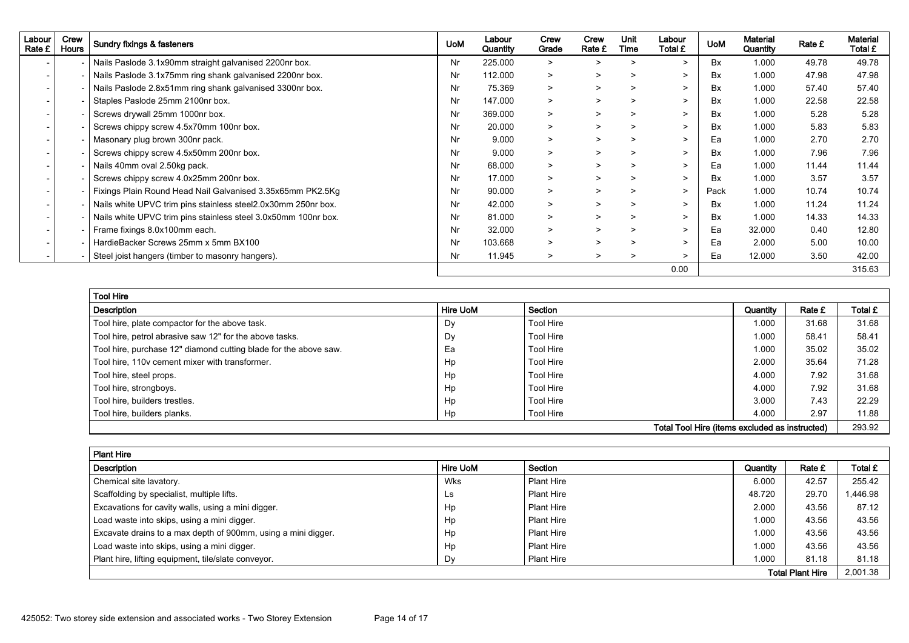| Labour<br>Rate £ | Crew<br><b>Hours</b> | Sundry fixings & fasteners                                     | <b>UoM</b> | Labour<br>Quantity | Crew<br>Grade | Crew<br>Rate £ | Unit<br>Time | Labour<br>Total £ | <b>UoM</b> | Material<br>Quantity | Rate £ | <b>Material</b><br>Total £ |
|------------------|----------------------|----------------------------------------------------------------|------------|--------------------|---------------|----------------|--------------|-------------------|------------|----------------------|--------|----------------------------|
|                  |                      | Nails Paslode 3.1x90mm straight galvanised 2200nr box.         | Nr         | 225.000            | $\geq$        | $\geq$         | >            | $\geq$            | <b>Bx</b>  | 1.000                | 49.78  | 49.78                      |
|                  |                      | Nails Paslode 3.1x75mm ring shank galvanised 2200nr box.       | Nr         | 112.000            | $\geq$        | $\geq$         | >            | $\geq$            | Bx         | 1.000                | 47.98  | 47.98                      |
|                  |                      | Nails Paslode 2.8x51mm ring shank galvanised 3300nr box.       | Nr         | 75.369             | $\geq$        | $\geq$         | $\geq$       | $\geq$            | <b>Bx</b>  | 1.000                | 57.40  | 57.40                      |
|                  |                      | Staples Paslode 25mm 2100nr box.                               | Nr         | 147.000            | $\geq$        | $\geq$         | $\geq$       | $\geq$            | <b>Bx</b>  | 1.000                | 22.58  | 22.58                      |
|                  |                      | Screws drywall 25mm 1000nr box.                                | Nr         | 369.000            | $\geq$        | $\geq$         | >            | $\geq$            | <b>Bx</b>  | 1.000                | 5.28   | 5.28                       |
|                  |                      | Screws chippy screw 4.5x70mm 100nr box.                        | Nr         | 20.000             | $\geq$        | $\geq$         | >            | $\geq$            | <b>Bx</b>  | 1.000                | 5.83   | 5.83                       |
|                  |                      | Masonary plug brown 300nr pack.                                | Nr         | 9.000              | $\geq$        | $\geq$         | >            | $\geq$            | Ea         | 1.000                | 2.70   | 2.70                       |
|                  |                      | Screws chippy screw 4.5x50mm 200nr box.                        | Nr         | 9.000              | $\geq$        | $\geq$         | >            | $\geq$            | Bx         | 1.000                | 7.96   | 7.96                       |
|                  |                      | Nails 40mm oval 2.50kg pack.                                   | Nr         | 68.000             | $\geq$        | $\geq$         | >            | $\geq$            | Ea         | 1.000                | 11.44  | 11.44                      |
|                  |                      | Screws chippy screw 4.0x25mm 200nr box.                        | Nr         | 17.000             | $\geq$        | $\geq$         | >            | $\geq$            | Bx         | 1.000                | 3.57   | 3.57                       |
|                  |                      | Fixings Plain Round Head Nail Galvanised 3.35x65mm PK2.5Kg     | Nr         | 90.000             | $\geq$        | $\geq$         | >            | $\geq$            | Pack       | 1.000                | 10.74  | 10.74                      |
|                  |                      | Nails white UPVC trim pins stainless steel 2.0x30mm 250nr box. | Nr         | 42.000             | $\geq$        | $\geq$         | >            | $\geq$            | <b>Bx</b>  | 1.000                | 11.24  | 11.24                      |
|                  |                      | Nails white UPVC trim pins stainless steel 3.0x50mm 100nr box. | Nr         | 81.000             | $\geq$        | $\geq$         | >            | $\geq$            | <b>Bx</b>  | 1.000                | 14.33  | 14.33                      |
|                  |                      | Frame fixings 8.0x100mm each.                                  | Nr         | 32.000             | $\geq$        | $\geq$         | >            | $\geq$            | Ea         | 32.000               | 0.40   | 12.80                      |
|                  |                      | HardieBacker Screws 25mm x 5mm BX100                           | Nr         | 103.668            | $\geq$        | $\geq$         | >            | $\geq$            | Ea         | 2.000                | 5.00   | 10.00                      |
|                  |                      | Steel joist hangers (timber to masonry hangers).               | Nr         | 11.945             | $\geq$        | $\geq$         | $\geq$       | $\geq$            | Ea         | 12.000               | 3.50   | 42.00                      |
|                  |                      |                                                                |            |                    |               |                |              | 0.00              |            |                      |        | 315.63                     |

| <b>Tool Hire</b>                                                 |                 |           |          |        |         |  |  |  |
|------------------------------------------------------------------|-----------------|-----------|----------|--------|---------|--|--|--|
| Description                                                      | <b>Hire UoM</b> | Section   | Quantity | Rate £ | Total £ |  |  |  |
| Tool hire, plate compactor for the above task.                   | Dy              | Tool Hire | 1.000    | 31.68  | 31.68   |  |  |  |
| Tool hire, petrol abrasive saw 12" for the above tasks.          | Dy              | Tool Hire | 1.000    | 58.41  | 58.41   |  |  |  |
| Tool hire, purchase 12" diamond cutting blade for the above saw. | Ea              | Tool Hire | 1.000    | 35.02  | 35.02   |  |  |  |
| Tool hire, 110y cement mixer with transformer.                   | Hp              | Tool Hire | 2.000    | 35.64  | 71.28   |  |  |  |
| Tool hire, steel props.                                          | Hp              | Tool Hire | 4.000    | 7.92   | 31.68   |  |  |  |
| Tool hire, strongboys.                                           | Hp              | Tool Hire | 4.000    | 7.92   | 31.68   |  |  |  |
| Tool hire, builders trestles.                                    | Hp              | Tool Hire | 3.000    | 7.43   | 22.29   |  |  |  |
| Tool hire, builders planks.                                      | Hp              | Tool Hire | 4.000    | 2.97   | 11.88   |  |  |  |
| Total Tool Hire (items excluded as instructed)<br>293.92         |                 |           |          |        |         |  |  |  |

| <b>Plant Hire</b>                                             |          |                   |          |        |          |  |  |  |
|---------------------------------------------------------------|----------|-------------------|----------|--------|----------|--|--|--|
| Description                                                   | Hire UoM | Section           | Quantity | Rate £ | Total £  |  |  |  |
| Chemical site lavatory.                                       | Wks      | <b>Plant Hire</b> | 6.000    | 42.57  | 255.42   |  |  |  |
| Scaffolding by specialist, multiple lifts.                    | Ls.      | <b>Plant Hire</b> | 48.720   | 29.70  | 1,446.98 |  |  |  |
| Excavations for cavity walls, using a mini digger.            | Hp       | <b>Plant Hire</b> | 2.000    | 43.56  | 87.12    |  |  |  |
| Load waste into skips, using a mini digger.                   | Hp       | <b>Plant Hire</b> | 000.     | 43.56  | 43.56    |  |  |  |
| Excavate drains to a max depth of 900mm, using a mini digger. | Hp       | <b>Plant Hire</b> | 1.000    | 43.56  | 43.56    |  |  |  |
| Load waste into skips, using a mini digger.                   | Hp       | <b>Plant Hire</b> | 000.1    | 43.56  | 43.56    |  |  |  |
| Plant hire, lifting equipment, tile/slate conveyor.           | Dv       | <b>Plant Hire</b> | 1.000    | 81.18  | 81.18    |  |  |  |
| 2.001.38<br><b>Total Plant Hire</b>                           |          |                   |          |        |          |  |  |  |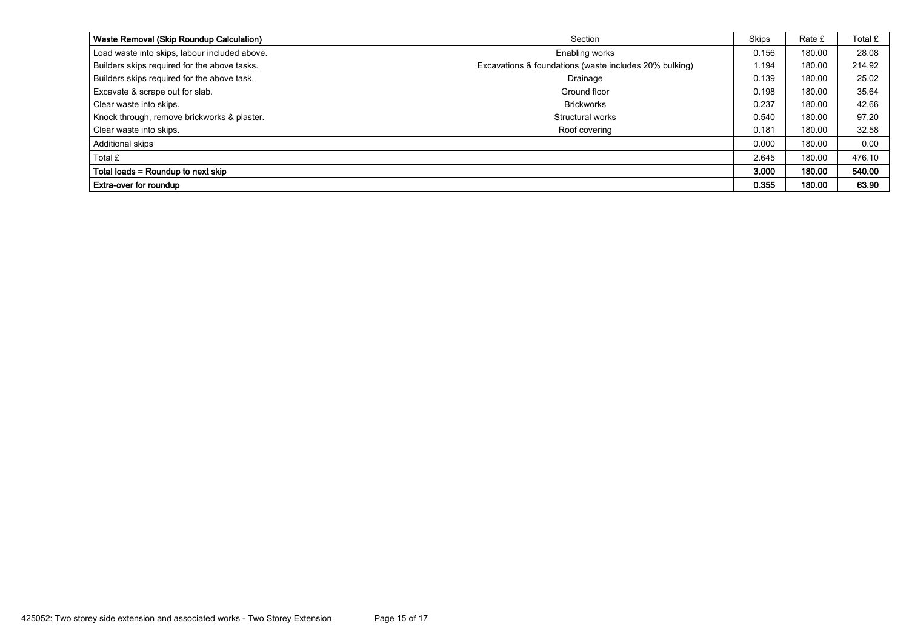| Waste Removal (Skip Roundup Calculation)      | Section                                                | <b>Skips</b> | Rate £ | Total £ |
|-----------------------------------------------|--------------------------------------------------------|--------------|--------|---------|
| Load waste into skips, labour included above. | Enabling works                                         | 0.156        | 180.00 | 28.08   |
| Builders skips required for the above tasks.  | Excavations & foundations (waste includes 20% bulking) | 1.194        | 180.00 | 214.92  |
| Builders skips required for the above task.   | Drainage                                               | 0.139        | 180.00 | 25.02   |
| Excavate & scrape out for slab.               | Ground floor                                           | 0.198        | 180.00 | 35.64   |
| Clear waste into skips.                       | <b>Brickworks</b>                                      | 0.237        | 180.00 | 42.66   |
| Knock through, remove brickworks & plaster.   | Structural works                                       | 0.540        | 180.00 | 97.20   |
| Clear waste into skips.                       | Roof covering                                          | 0.181        | 180.00 | 32.58   |
| Additional skips                              |                                                        | 0.000        | 180.00 | 0.00    |
| Total £                                       |                                                        | 2.645        | 180.00 | 476.10  |
| Total loads = Roundup to next skip            |                                                        | 3.000        | 180.00 | 540.00  |
| <b>Extra-over for roundup</b>                 |                                                        | 0.355        | 180.00 | 63.90   |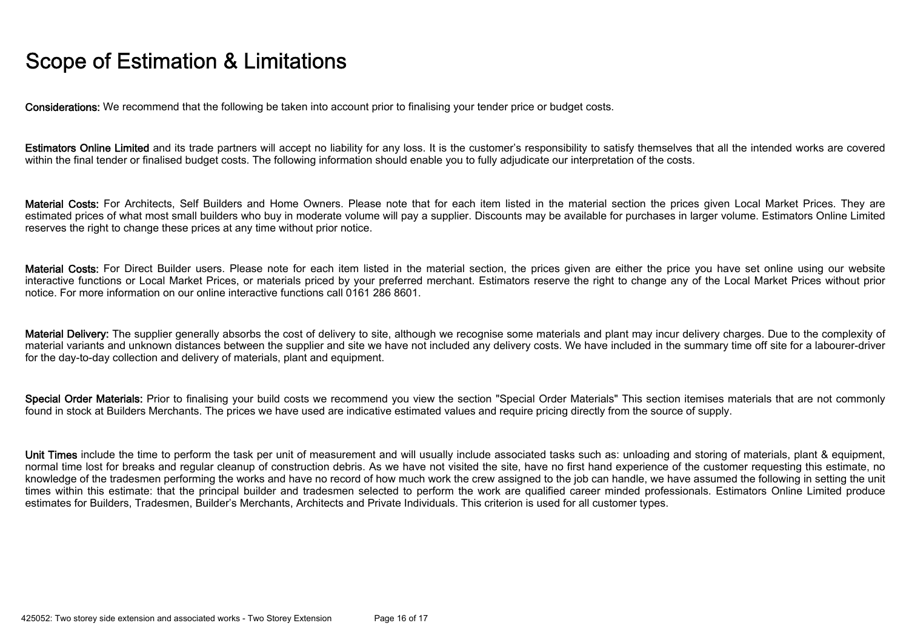## Scope of Estimation & Limitations

Considerations: We recommend that the following be taken into account prior to finalising your tender price or budget costs.

Estimators Online Limited and its trade partners will accept no liability for any loss. It is the customer's responsibility to satisfy themselves that all the intended works are covered within the final tender or finalised budget costs. The following information should enable you to fully adjudicate our interpretation of the costs.

Material Costs: For Architects, Self Builders and Home Owners. Please note that for each item listed in the material section the prices given Local Market Prices. They are estimated prices of what most small builders who buy in moderate volume will pay a supplier. Discounts may be available for purchases in larger volume. Estimators Online Limited reserves the right to change these prices at any time without prior notice.

Material Costs: For Direct Builder users. Please note for each item listed in the material section, the prices given are either the price you have set online using our website interactive functions or Local Market Prices, or materials priced by your preferred merchant. Estimators reserve the right to change any of the Local Market Prices without prior notice. For more information on our online interactive functions call 0161 286 8601.

Material Delivery: The supplier generally absorbs the cost of delivery to site, although we recognise some materials and plant may incur delivery charges. Due to the complexity of material variants and unknown distances between the supplier and site we have not included any delivery costs. We have included in the summary time off site for a labourer-driver for the day-to-day collection and delivery of materials, plant and equipment.

Special Order Materials: Prior to finalising your build costs we recommend you view the section "Special Order Materials" This section itemises materials that are not commonly found in stock at Builders Merchants. The prices we have used are indicative estimated values and require pricing directly from the source of supply.

Unit Times include the time to perform the task per unit of measurement and will usually include associated tasks such as: unloading and storing of materials, plant & equipment, normal time lost for breaks and regular cleanup of construction debris. As we have not visited the site, have no first hand experience of the customer requesting this estimate, no knowledge of the tradesmen performing the works and have no record of how much work the crew assigned to the job can handle, we have assumed the following in setting the unit times within this estimate: that the principal builder and tradesmen selected to perform the work are qualified career minded professionals. Estimators Online Limited produce estimates for Builders, Tradesmen, Builder's Merchants, Architects and Private Individuals. This criterion is used for all customer types.